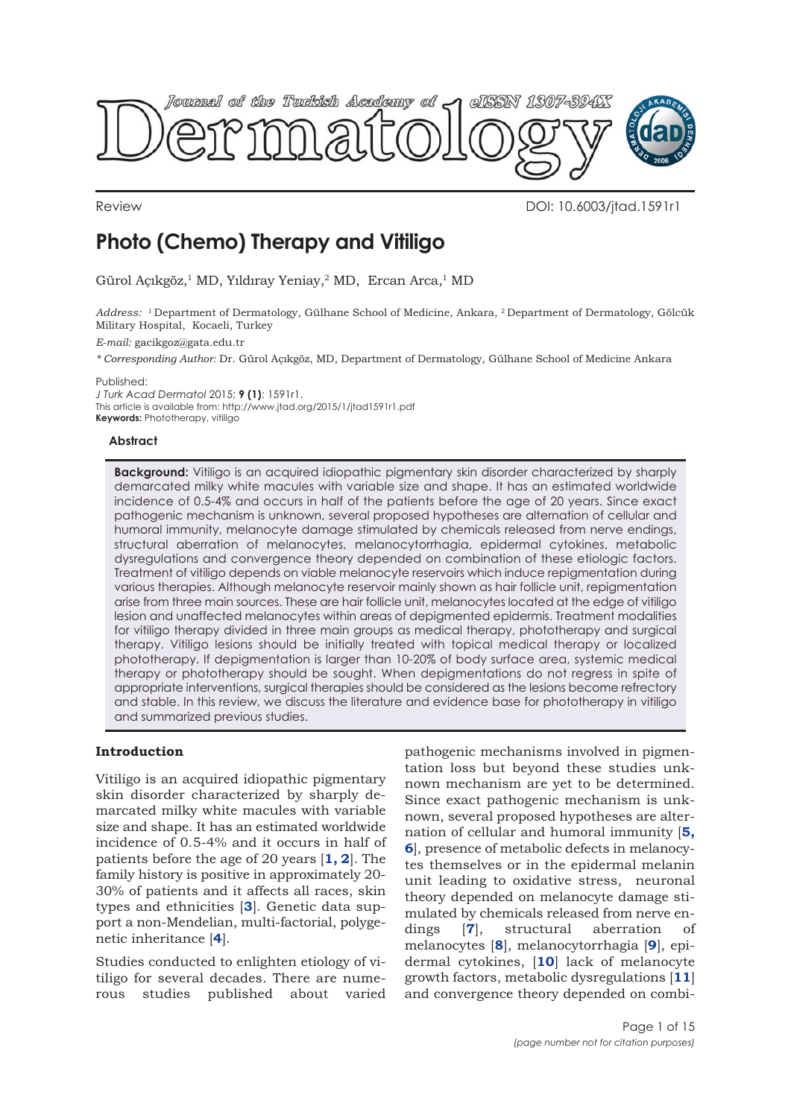

Review DOI: 10.6003/jtad.1591r1

# **Photo (Chemo) Therapy and Vitiligo**

Gürol Açıkgöz,1 MD, Yıldıray Yeniay,2 MD, Ercan Arca,1 MD

*Address:* 1 Department of Dermatology, Gülhane School of Medicine, Ankara, 2 Department of Dermatology, Gölcük Military Hospital, Kocaeli, Turkey

*E-mail:* gacikgoz@gata.edu.tr

*\* Corresponding Author:* Dr. Gürol Açıkgöz, MD, Department of Dermatology, Gülhane School of Medicine Ankara

Published:

*J Turk Acad Dermatol* 2015; **9 (1)**: 1591r1. This article is available from: http://www.jtad.org/2015/1/jtad1591r1.pdf **Keywords:** Phototherapy, vitiligo

#### **Abstract**

**Background:** Vitiligo is an acquired idiopathic pigmentary skin disorder characterized by sharply demarcated milky white macules with variable size and shape. It has an estimated worldwide incidence of 0.5-4% and occurs in half of the patients before the age of 20 years. Since exact pathogenic mechanism is unknown, several proposed hypotheses are alternation of cellular and humoral immunity, melanocyte damage stimulated by chemicals released from nerve endings, structural aberration of melanocytes, melanocytorrhagia, epidermal cytokines, metabolic dysregulations and convergence theory depended on combination of these etiologic factors. Treatment of vitiligo depends on viable melanocyte reservoirs which induce repigmentation during various therapies. Although melanocyte reservoir mainly shown as hair follicle unit, repigmentation arise from three main sources. These are hair follicle unit, melanocytes located at the edge of vitiligo lesion and unaffected melanocytes within areas of depigmented epidermis. Treatment modalities for vitiligo therapy divided in three main groups as medical therapy, phototherapy and surgical therapy. Vitiligo lesions should be initially treated with topical medical therapy or localized phototherapy. If depigmentation is larger than 10-20% of body surface area, systemic medical therapy or phototherapy should be sought. When depigmentations do not regress in spite of appropriate interventions, surgical therapies should be considered as the lesions become refrectory and stable. In this review, we discuss the literature and evidence base for phototherapy in vitiligo and summarized previous studies.

## **Introduction**

Vitiligo is an acquired idiopathic pigmentary skin disorder characterized by sharply demarcated milky white macules with variable size and shape. It has an estimated worldwide incidence of 0.5-4% and it occurs in half of patients before the age of 20 years [**[1, 2](#page-10-0)**]. The family history is positive in approximately 20- 30% of patients and it affects all races, skin types and ethnicities [**[3](#page-11-0)**]. Genetic data support a non-Mendelian, multi-factorial, polygenetic inheritance [**[4](#page-11-0)**].

Studies conducted to enlighten etiology of vitiligo for several decades. There are numerous studies published about varied

pathogenic mechanisms involved in pigmentation loss but beyond these studies unknown mechanism are yet to be determined. Since exact pathogenic mechanism is unknown, several proposed hypotheses are alternation of cellular and humoral immunity [**[5,](#page-11-0) [6](#page-11-0)**], presence of metabolic defects in melanocytes themselves or in the epidermal melanin unit leading to oxidative stress, neuronal theory depended on melanocyte damage stimulated by chemicals released from nerve endings [**[7](#page-11-0)**], structural aberration of melanocytes [**[8](#page-11-0)**], melanocytorrhagia [**[9](#page-11-0)**], epidermal cytokines, [**[10](#page-11-0)**] lack of melanocyte growth factors, metabolic dysregulations [**[11](#page-11-0)**] and convergence theory depended on combi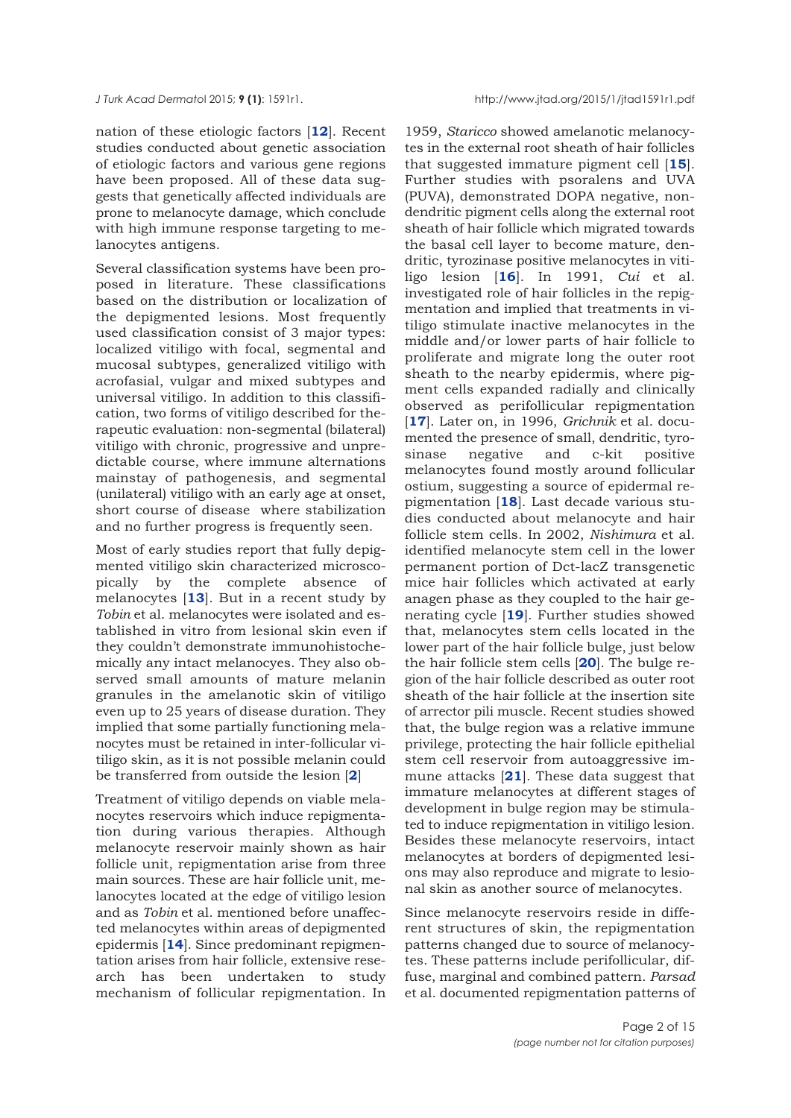nation of these etiologic factors [**[12](#page-11-0)**]. Recent studies conducted about genetic association of etiologic factors and various gene regions have been proposed. All of these data suggests that genetically affected individuals are prone to melanocyte damage, which conclude with high immune response targeting to melanocytes antigens.

Several classification systems have been proposed in literature. These classifications based on the distribution or localization of the depigmented lesions. Most frequently used classification consist of 3 major types: localized vitiligo with focal, segmental and mucosal subtypes, generalized vitiligo with acrofasial, vulgar and mixed subtypes and universal vitiligo. In addition to this classification, two forms of vitiligo described for therapeutic evaluation: non-segmental (bilateral) vitiligo with chronic, progressive and unpredictable course, where immune alternations mainstay of pathogenesis, and segmental (unilateral) vitiligo with an early age at onset, short course of disease where stabilization and no further progress is frequently seen.

Most of early studies report that fully depigmented vitiligo skin characterized microscopically by the complete absence of melanocytes [**[13](#page-11-0)**]. But in a recent study by *Tobin* et al. melanocytes were isolated and established in vitro from lesional skin even if they couldn't demonstrate immunohistochemically any intact melanocyes. They also observed small amounts of mature melanin granules in the amelanotic skin of vitiligo even up to 25 years of disease duration. They implied that some partially functioning melanocytes must be retained in inter-follicular vitiligo skin, as it is not possible melanin could be transferred from outside the lesion [**[2](#page-10-0)**]

Treatment of vitiligo depends on viable melanocytes reservoirs which induce repigmentation during various therapies. Although melanocyte reservoir mainly shown as hair follicle unit, repigmentation arise from three main sources. These are hair follicle unit, melanocytes located at the edge of vitiligo lesion and as *Tobin* et al. mentioned before unaffected melanocytes within areas of depigmented epidermis [**[14](#page-11-0)**]. Since predominant repigmentation arises from hair follicle, extensive research has been undertaken to study mechanism of follicular repigmentation. In

1959, *Staricco* showed amelanotic melanocytes in the external root sheath of hair follicles that suggested immature pigment cell [**[15](#page-11-0)**]. Further studies with psoralens and UVA (PUVA), demonstrated DOPA negative, nondendritic pigment cells along the external root sheath of hair follicle which migrated towards the basal cell layer to become mature, dendritic, tyrozinase positive melanocytes in vitiligo lesion [**[16](#page-11-0)**]. In 1991, *Cui* et al. investigated role of hair follicles in the repigmentation and implied that treatments in vitiligo stimulate inactive melanocytes in the middle and/or lower parts of hair follicle to proliferate and migrate long the outer root sheath to the nearby epidermis, where pigment cells expanded radially and clinically observed as perifollicular repigmentation [**[17](#page-11-0)**]. Later on, in 1996, *Grichnik* et al. documented the presence of small, dendritic, tyrosinase negative and c-kit positive melanocytes found mostly around follicular ostium, suggesting a source of epidermal repigmentation [**[18](#page-11-0)**]. Last decade various studies conducted about melanocyte and hair follicle stem cells. In 2002, *Nishimura* et al. identified melanocyte stem cell in the lower permanent portion of Dct-lacZ transgenetic mice hair follicles which activated at early anagen phase as they coupled to the hair generating cycle [**[19](#page-11-0)**]. Further studies showed that, melanocytes stem cells located in the lower part of the hair follicle bulge, just below the hair follicle stem cells [**[20](#page-11-0)**]. The bulge region of the hair follicle described as outer root sheath of the hair follicle at the insertion site of arrector pili muscle. Recent studies showed that, the bulge region was a relative immune privilege, protecting the hair follicle epithelial stem cell reservoir from autoaggressive immune attacks [**[21](#page-11-0)**]. These data suggest that immature melanocytes at different stages of development in bulge region may be stimulated to induce repigmentation in vitiligo lesion. Besides these melanocyte reservoirs, intact melanocytes at borders of depigmented lesions may also reproduce and migrate to lesional skin as another source of melanocytes.

Since melanocyte reservoirs reside in different structures of skin, the repigmentation patterns changed due to source of melanocytes. These patterns include perifollicular, diffuse, marginal and combined pattern. *Parsad* et al. documented repigmentation patterns of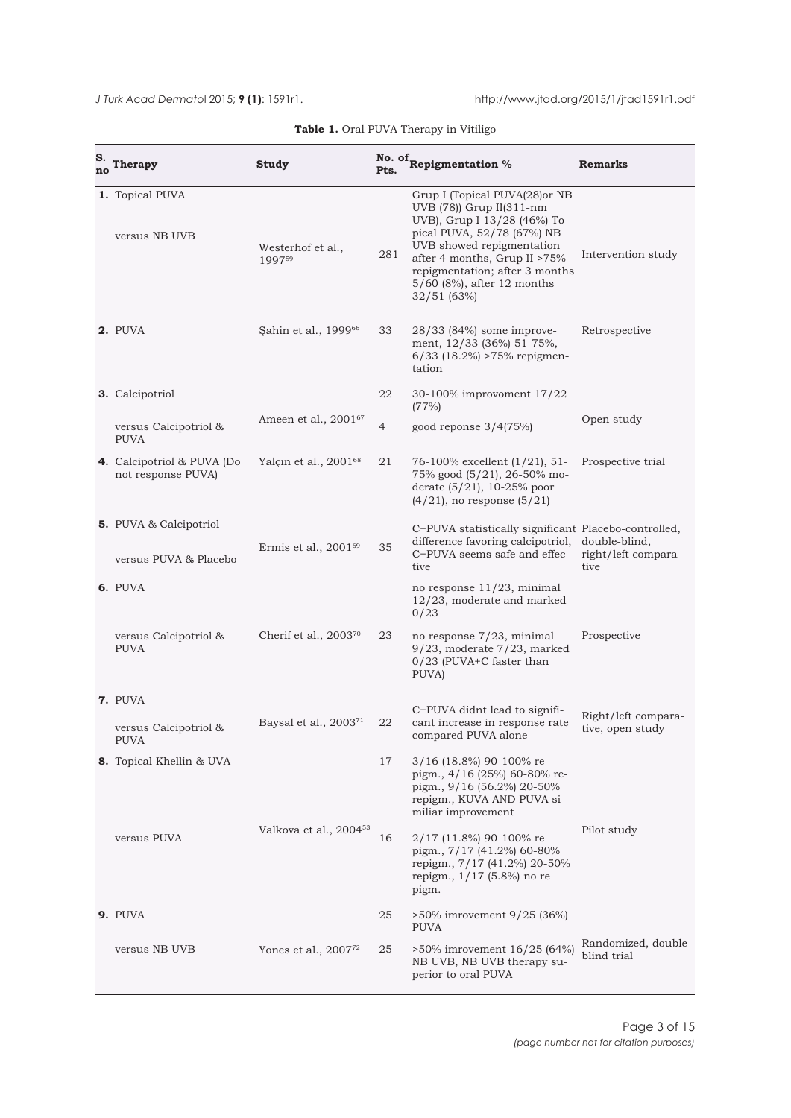<span id="page-2-0"></span>*J* Turk Acad Dermatol 2015; **9 (1)**: 1591r1. http://www.jtad.org/2015/1/jtad1591r1.pdf

| s.<br>no | <b>Therapy</b>                                   | Study                              | Pts.           | No. of Repigmentation %                                                                                                                                                                                                                                             | <b>Remarks</b>                               |
|----------|--------------------------------------------------|------------------------------------|----------------|---------------------------------------------------------------------------------------------------------------------------------------------------------------------------------------------------------------------------------------------------------------------|----------------------------------------------|
|          | 1. Topical PUVA<br>versus NB UVB                 | Westerhof et al.,<br>199759        | 281            | Grup I (Topical PUVA(28) or NB<br>UVB (78)) Grup II(311-nm<br>UVB), Grup I 13/28 (46%) To-<br>pical PUVA, 52/78 (67%) NB<br>UVB showed repigmentation<br>after 4 months, Grup II >75%<br>repigmentation; after 3 months<br>5/60 (8%), after 12 months<br>32/51(63%) | Intervention study                           |
|          | 2. PUVA                                          | Sahin et al., 1999 <sup>66</sup>   | 33             | 28/33 (84%) some improve-<br>ment, 12/33 (36%) 51-75%,<br>$6/33$ (18.2%) >75% repigmen-<br>tation                                                                                                                                                                   | Retrospective                                |
|          | 3. Calcipotriol                                  |                                    | 22             | 30-100% improvoment 17/22                                                                                                                                                                                                                                           |                                              |
|          | versus Calcipotriol &<br><b>PUVA</b>             | Ameen et al., 200167               | $\overline{4}$ | (77%)<br>good reponse $3/4(75%)$                                                                                                                                                                                                                                    | Open study                                   |
|          | 4. Calcipotriol & PUVA (Do<br>not response PUVA) | Yalçın et al., 2001 <sup>68</sup>  | 21             | 76-100% excellent (1/21), 51-<br>75% good (5/21), 26-50% mo-<br>derate (5/21), 10-25% poor<br>$(4/21)$ , no response $(5/21)$                                                                                                                                       | Prospective trial                            |
|          | <b>5.</b> PUVA & Calcipotriol                    |                                    |                | C+PUVA statistically significant Placebo-controlled,                                                                                                                                                                                                                |                                              |
|          | versus PUVA & Placebo                            | Ermis et al., $2001^{69}$          | 35             | difference favoring calcipotriol,<br>C+PUVA seems safe and effec-<br>tive                                                                                                                                                                                           | double-blind,<br>right/left compara-<br>tive |
|          | 6. PUVA                                          |                                    |                | no response 11/23, minimal<br>12/23, moderate and marked<br>0/23                                                                                                                                                                                                    |                                              |
|          | versus Calcipotriol &<br><b>PUVA</b>             | Cherif et al., $2003^{70}$         | 23             | no response 7/23, minimal<br>$9/23$ , moderate $7/23$ , marked<br>0/23 (PUVA+C faster than<br>PUVA)                                                                                                                                                                 | Prospective                                  |
|          | 7. PUVA                                          |                                    |                |                                                                                                                                                                                                                                                                     |                                              |
|          | versus Calcipotriol &<br>PUVA                    | Baysal et al., 2003 <sup>71</sup>  | 22             | C+PUVA didnt lead to signifi-<br>cant increase in response rate<br>compared PUVA alone                                                                                                                                                                              | Right/left compara-<br>tive, open study      |
|          | 8. Topical Khellin & UVA                         |                                    | 17             | 3/16 (18.8%) 90-100% re-<br>pigm., 4/16 (25%) 60-80% re-<br>pigm., 9/16 (56.2%) 20-50%<br>repigm., KUVA AND PUVA si-<br>miliar improvement                                                                                                                          |                                              |
|          | versus PUVA                                      | Valkova et al., 2004 <sup>53</sup> | 16             | 2/17 (11.8%) 90-100% re-<br>pigm., 7/17 (41.2%) 60-80%<br>repigm., 7/17 (41.2%) 20-50%<br>repigm., 1/17 (5.8%) no re-<br>pigm.                                                                                                                                      | Pilot study                                  |
|          | 9. PUVA                                          |                                    | 25             | >50% imrovement 9/25 (36%)<br><b>PUVA</b>                                                                                                                                                                                                                           |                                              |
|          | versus NB UVB                                    | Yones et al., $2007^{72}$          | 25             | >50% imrovement 16/25 (64%)<br>NB UVB, NB UVB therapy su-<br>perior to oral PUVA                                                                                                                                                                                    | Randomized, double-<br>blind trial           |

| Table 1. Oral PUVA Therapy in Vitiligo |  |
|----------------------------------------|--|
|----------------------------------------|--|

 $\overline{\phantom{a}}$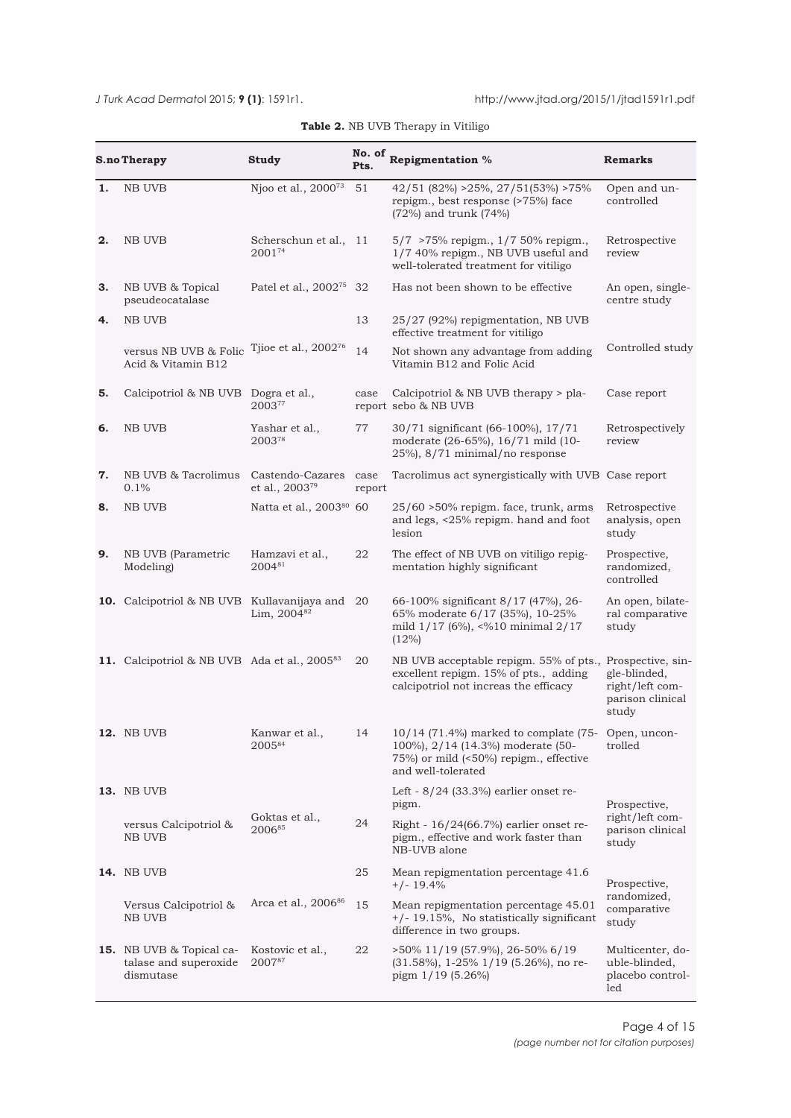<span id="page-3-0"></span>

| No. of |                                                                       |                                                |                |                                                                                                                                                         |                                                              |  |
|--------|-----------------------------------------------------------------------|------------------------------------------------|----------------|---------------------------------------------------------------------------------------------------------------------------------------------------------|--------------------------------------------------------------|--|
|        | <b>S.no Therapy</b>                                                   | Study                                          | Pts.           | <b>Repigmentation %</b>                                                                                                                                 | <b>Remarks</b>                                               |  |
| 1.     | NB UVB                                                                | Njoo et al., 2000 <sup>73</sup>                | 51             | 42/51 (82%) > 25%, 27/51(53%) > 75%<br>repigm., best response (>75%) face<br>(72%) and trunk (74%)                                                      | Open and un-<br>controlled                                   |  |
| 2.     | NB UVB                                                                | Scherschun et al., 11<br>200174                |                | 5/7 > 75% repigm., 1/7 50% repigm.,<br>1/7 40% repigm., NB UVB useful and<br>well-tolerated treatment for vitiligo                                      | Retrospective<br>review                                      |  |
| з.     | NB UVB & Topical<br>pseudeocatalase                                   | Patel et al., 2002 <sup>75</sup> 32            |                | Has not been shown to be effective                                                                                                                      | An open, single-<br>centre study                             |  |
| 4.     | NB UVB                                                                |                                                | 13             | 25/27 (92%) repigmentation, NB UVB<br>effective treatment for vitiligo                                                                                  |                                                              |  |
|        | versus NB UVB & Folic<br>Acid & Vitamin B12                           | Tjioe et al., $2002^{76}$                      | 14             | Not shown any advantage from adding<br>Vitamin B12 and Folic Acid                                                                                       | Controlled study                                             |  |
| 5.     | Calcipotriol & NB UVB Dogra et al.,                                   | 200377                                         | case           | Calcipotriol & NB UVB therapy > pla-<br>report sebo & NB UVB                                                                                            | Case report                                                  |  |
| 6.     | <b>NB UVB</b>                                                         | Yashar et al.,<br>200378                       | 77             | 30/71 significant (66-100%), 17/71<br>moderate (26-65%), 16/71 mild (10-<br>25%), 8/71 minimal/no response                                              | Retrospectively<br>review                                    |  |
| 7.     | NB UVB & Tacrolimus<br>0.1%                                           | Castendo-Cazares<br>et al., 2003 <sup>79</sup> | case<br>report | Tacrolimus act synergistically with UVB Case report                                                                                                     |                                                              |  |
| 8.     | NB UVB                                                                | Natta et al., 200380 60                        |                | $25/60$ >50% repigm. face, trunk, arms<br>and legs, <25% repigm. hand and foot<br>lesion                                                                | Retrospective<br>analysis, open<br>study                     |  |
| 9.     | NB UVB (Parametric<br>Modeling)                                       | Hamzavi et al.,<br>200481                      | 22             | The effect of NB UVB on vitiligo repig-<br>mentation highly significant                                                                                 | Prospective,<br>randomized,<br>controlled                    |  |
|        | <b>10.</b> Calcipotriol & NB UVB Kullavanijaya and 20                 | Lim, 2004 <sup>82</sup>                        |                | 66-100% significant 8/17 (47%), 26-<br>65% moderate 6/17 (35%), 10-25%<br>mild 1/17 (6%), <%10 minimal 2/17<br>(12%)                                    | An open, bilate-<br>ral comparative<br>study                 |  |
|        | 11. Calcipotriol & NB UVB Ada et al., 2005 <sup>83</sup>              |                                                | 20             | NB UVB acceptable repigm. 55% of pts., Prospective, sin-<br>excellent repigm. 15% of pts., adding<br>calcipotriol not increas the efficacy              | gle-blinded,<br>right/left com-<br>parison clinical<br>study |  |
|        | <b>12. NB UVB</b>                                                     | Kanwar et al.,<br>200584                       | 14             | 10/14 (71.4%) marked to complate (75- Open, uncon-<br>100%), 2/14 (14.3%) moderate (50-<br>75%) or mild (<50%) repigm., effective<br>and well-tolerated | trolled                                                      |  |
|        | <b>13.</b> NB UVB                                                     |                                                |                | Left - $8/24$ (33.3%) earlier onset re-<br>pigm.                                                                                                        | Prospective,                                                 |  |
|        | versus Calcipotriol &<br>NB UVB                                       | Goktas et al.,<br>200685                       |                | Right - 16/24(66.7%) earlier onset re-<br>pigm., effective and work faster than<br>NB-UVB alone                                                         | right/left com-<br>parison clinical<br>study                 |  |
|        | <b>14.</b> NB UVB                                                     |                                                | 25             | Mean repigmentation percentage 41.6<br>$+/- 19.4%$                                                                                                      | Prospective,                                                 |  |
|        | Versus Calcipotriol &<br>NB UVB                                       | Arca et al., 2006 <sup>86</sup>                |                | Mean repigmentation percentage 45.01<br>$+/- 19.15\%$ , No statistically significant<br>difference in two groups.                                       | randomized,<br>comparative<br>study                          |  |
|        | <b>15.</b> NB UVB & Topical ca-<br>talase and superoxide<br>dismutase | Kostovic et al.,<br>200787                     | 22             | >50% 11/19 (57.9%), 26-50% 6/19<br>$(31.58\%)$ , 1-25% $1/19$ (5.26%), no re-<br>pigm $1/19$ (5.26%)                                                    | Multicenter, do-<br>uble-blinded,<br>placebo control-<br>led |  |

## **Table 2.** NB UVB Therapy in Vitiligo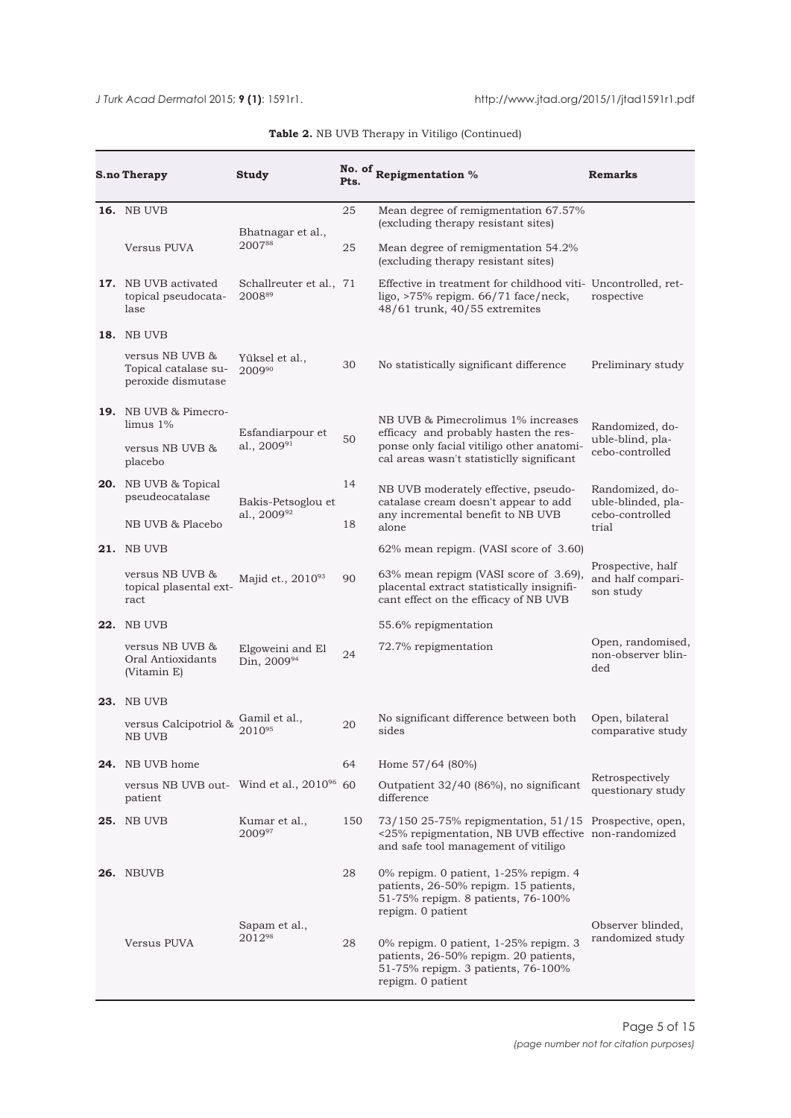| <b>S.no Therapy</b>                                              | Study                             | Pts. | No. of Repigmentation %                                                                                                                                | <b>Remarks</b>                                           |  |
|------------------------------------------------------------------|-----------------------------------|------|--------------------------------------------------------------------------------------------------------------------------------------------------------|----------------------------------------------------------|--|
| <b>16.</b> NB UVB                                                |                                   | 25   | Mean degree of remigmentation 67.57%<br>(excluding therapy resistant sites)                                                                            |                                                          |  |
| Versus PUVA                                                      | Bhatnagar et al.,<br>200788       | 25   | Mean degree of remigmentation 54.2%<br>(excluding therapy resistant sites)                                                                             |                                                          |  |
| <b>17.</b> NB UVB activated<br>topical pseudocata-<br>lase       | Schallreuter et al., 71<br>200889 |      | Effective in treatment for childhood viti- Uncontrolled, ret-<br>ligo, $>75\%$ repigm. $66/71$ face/neck,<br>48/61 trunk, 40/55 extremites             | rospective                                               |  |
| <b>18. NB UVB</b>                                                |                                   |      |                                                                                                                                                        |                                                          |  |
| versus NB UVB &<br>Topical catalase su-<br>peroxide dismutase    | Yüksel et al.,<br>200990          | 30   | No statistically significant difference                                                                                                                | Preliminary study                                        |  |
| <b>19.</b> NB UVB & Pimecro-<br>$\limus 1\%$<br>Esfandiarpour et |                                   |      | NB UVB & Pimecrolimus 1% increases<br>efficacy and probably hasten the res-                                                                            | Randomized, do-                                          |  |
| versus NB UVB &<br>placebo                                       | al., 2009 <sup>91</sup>           | 50   | ponse only facial vitiligo other anatomi-<br>cal areas wasn't statisticlly significant                                                                 | uble-blind, pla-<br>cebo-controlled                      |  |
| 20. NB UVB & Topical<br>pseudeocatalase                          | Bakis-Petsoglou et                | 14   | NB UVB moderately effective, pseudo-<br>catalase cream doesn't appear to add                                                                           | Randomized, do-<br>uble-blinded, pla-<br>cebo-controlled |  |
| NB UVB & Placebo                                                 | al., 200992                       | 18   | any incremental benefit to NB UVB<br>alone                                                                                                             | trial                                                    |  |
| <b>21. NB UVB</b>                                                |                                   |      | 62% mean repigm. (VASI score of 3.60)                                                                                                                  |                                                          |  |
| versus NB UVB &<br>topical plasental ext-<br>ract                | Majid et., 201093                 | 90   | 63% mean repigm (VASI score of 3.69),<br>placental extract statistically insignifi-<br>cant effect on the efficacy of NB UVB                           | Prospective, half<br>and half compari-<br>son study      |  |
| <b>22.</b> NB UVB                                                |                                   |      | 55.6% repigmentation                                                                                                                                   |                                                          |  |
| versus NB UVB &<br>Oral Antioxidants<br>(Vitamin E)              | Elgoweini and El<br>Din, 200994   | 24   | 72.7% repigmentation                                                                                                                                   | Open, randomised,<br>non-observer blin-<br>ded           |  |
| <b>23.</b> NB UVB                                                |                                   |      |                                                                                                                                                        |                                                          |  |
| versus Calcipotriol &<br>NB UVB                                  | Gamil et al.,<br>201095           | 20   | No significant difference between both<br>sides                                                                                                        | Open, bilateral<br>comparative study                     |  |
| 24. NB UVB home                                                  |                                   | 64   | Home 57/64 (80%)                                                                                                                                       |                                                          |  |
| versus NB UVB out- Wind et al., 2010 <sup>96</sup><br>patient    |                                   | 60   | Outpatient 32/40 (86%), no significant<br>difference                                                                                                   | Retrospectively<br>questionary study                     |  |
| <b>25.</b> NB UVB                                                | Kumar et al.,<br>200997           | 150  | 73/150 25-75% repigmentation, 51/15 Prospective, open,<br><25% repigmentation, NB UVB effective non-randomized<br>and safe tool management of vitiligo |                                                          |  |
| <b>26.</b> NBUVB                                                 |                                   | 28   | 0% repigm. 0 patient, 1-25% repigm. 4<br>patients, 26-50% repigm. 15 patients,<br>51-75% repigm. 8 patients, 76-100%<br>repigm. 0 patient              |                                                          |  |
| Versus PUVA                                                      | Sapam et al.,<br>201298           | 28   | 0% repigm. 0 patient, 1-25% repigm. 3<br>patients, 26-50% repigm. 20 patients,<br>51-75% repigm. 3 patients, 76-100%<br>repigm. 0 patient              | Observer blinded,<br>randomized study                    |  |

## **Table 2.** NB UVB Therapy in Vitiligo (Continued)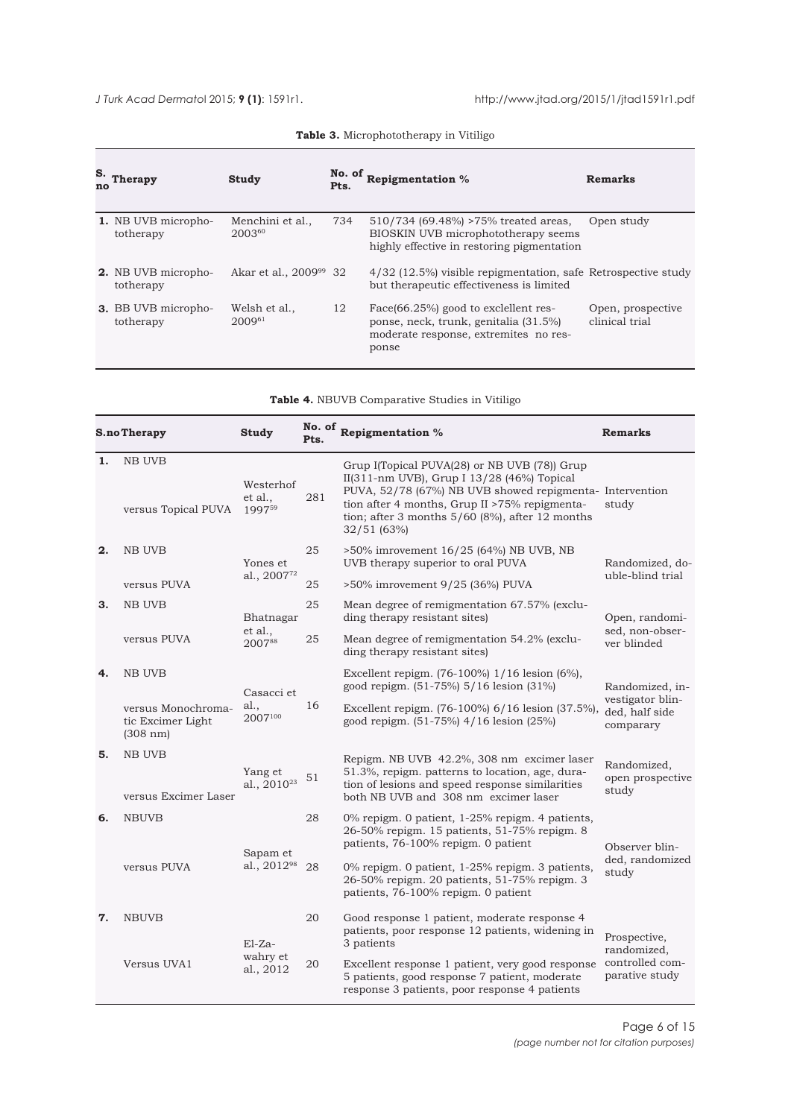<span id="page-5-0"></span>

| S.<br>no | Therapy                                 | Study                              | No. of<br>Pts. | Repigmentation %                                                                                                                | Remarks                             |
|----------|-----------------------------------------|------------------------------------|----------------|---------------------------------------------------------------------------------------------------------------------------------|-------------------------------------|
|          | 1. NB UVB micropho-<br>totherapy        | Menchini et al.,<br>200360         | 734            | 510/734 (69.48%) >75% treated areas,<br>BIOSKIN UVB microphototherapy seems<br>highly effective in restoring pigmentation       | Open study                          |
|          | <b>2.</b> NB UVB micropho-<br>totherapy | Akar et al., 2009 <sup>99</sup> 32 |                | $4/32$ (12.5%) visible repigmentation, safe Retrospective study<br>but therapeutic effectiveness is limited                     |                                     |
|          | <b>3.</b> BB UVB micropho-<br>totherapy | Welsh et al.,<br>$2009^{61}$       | 12             | Face(66.25%) good to exclellent res-<br>ponse, neck, trunk, genitalia (31.5%)<br>moderate response, extremites no res-<br>ponse | Open, prospective<br>clinical trial |

**Table 3.** Microphototherapy in Vitiligo

|    | S.noTherapy                                         | Study                               | No. of<br>Pts. | Repigmentation %                                                                                                                                                                                                                                                           | <b>Remarks</b>                                                     |  |
|----|-----------------------------------------------------|-------------------------------------|----------------|----------------------------------------------------------------------------------------------------------------------------------------------------------------------------------------------------------------------------------------------------------------------------|--------------------------------------------------------------------|--|
| 1. | <b>NB UVB</b><br>versus Topical PUVA                | Westerhof<br>et al<br>199759        | 281            | Grup I(Topical PUVA(28) or NB UVB (78)) Grup<br>II(311-nm UVB), Grup I 13/28 (46%) Topical<br>PUVA, 52/78 (67%) NB UVB showed repigmenta- Intervention<br>tion after 4 months, Grup II >75% repigmenta-<br>tion; after 3 months $5/60$ (8%), after 12 months<br>32/51(63%) | study                                                              |  |
| 2. | <b>NB UVB</b>                                       | Yones et                            | 25             | >50% imrovement 16/25 (64%) NB UVB, NB<br>UVB therapy superior to oral PUVA                                                                                                                                                                                                | Randomized, do-<br>uble-blind trial                                |  |
|    | versus PUVA                                         | al., 200772                         | 25             | >50% imrovement 9/25 (36%) PUVA                                                                                                                                                                                                                                            |                                                                    |  |
| З. | <b>NB UVB</b>                                       | Bhatnagar                           | 25             | Mean degree of remigmentation 67.57% (exclu-<br>ding therapy resistant sites)                                                                                                                                                                                              | Open, randomi-                                                     |  |
|    | versus PUVA                                         | et al.,<br>200788                   | 25             | Mean degree of remigmentation 54.2% (exclu-<br>ding therapy resistant sites)                                                                                                                                                                                               | sed, non-obser-<br>ver blinded                                     |  |
| 4. | <b>NB UVB</b>                                       | Casacci et                          |                | Excellent repigm. (76-100%) 1/16 lesion (6%),<br>good repigm. (51-75%) 5/16 lesion (31%)                                                                                                                                                                                   | Randomized, in-<br>vestigator blin-<br>ded, half side<br>comparary |  |
|    | versus Monochroma-<br>tic Excimer Light<br>(308 nm) | al.,<br>2007100                     | 16             | Excellent repigm. (76-100%) 6/16 lesion (37.5%),<br>good repigm. (51-75%) 4/16 lesion (25%)                                                                                                                                                                                |                                                                    |  |
| 5. | <b>NB UVB</b><br>versus Excimer Laser               | Yang et<br>al., 2010 <sup>23</sup>  | $51\,$         | Repigm. NB UVB 42.2%, 308 nm excimer laser<br>51.3%, repigm. patterns to location, age, dura-<br>tion of lesions and speed response similarities<br>both NB UVB and 308 nm excimer laser                                                                                   | Randomized,<br>open prospective<br>study                           |  |
| 6. | <b>NBUVB</b>                                        |                                     | 28             | 0% repigm. 0 patient, 1-25% repigm. 4 patients,<br>26-50% repigm. 15 patients, 51-75% repigm. 8<br>patients, 76-100% repigm. 0 patient                                                                                                                                     | Observer blin-                                                     |  |
|    | versus PUVA                                         | Sapam et<br>al., 2012 <sup>98</sup> | 28             | 0% repigm. 0 patient, 1-25% repigm. 3 patients,<br>26-50% repigm. 20 patients, 51-75% repigm. 3<br>patients, 76-100% repigm. 0 patient                                                                                                                                     | ded, randomized<br>study                                           |  |
| 7. | <b>NBUVB</b>                                        | 20<br>El-Za-                        |                | Good response 1 patient, moderate response 4<br>patients, poor response 12 patients, widening in<br>3 patients                                                                                                                                                             | Prospective,<br>randomized,                                        |  |
|    | Versus UVA1                                         | wahry et<br>al., 2012               | 20             | Excellent response 1 patient, very good response<br>5 patients, good response 7 patient, moderate<br>response 3 patients, poor response 4 patients                                                                                                                         | controlled com-<br>parative study                                  |  |

**Table 4.** NBUVB Comparative Studies in Vitiligo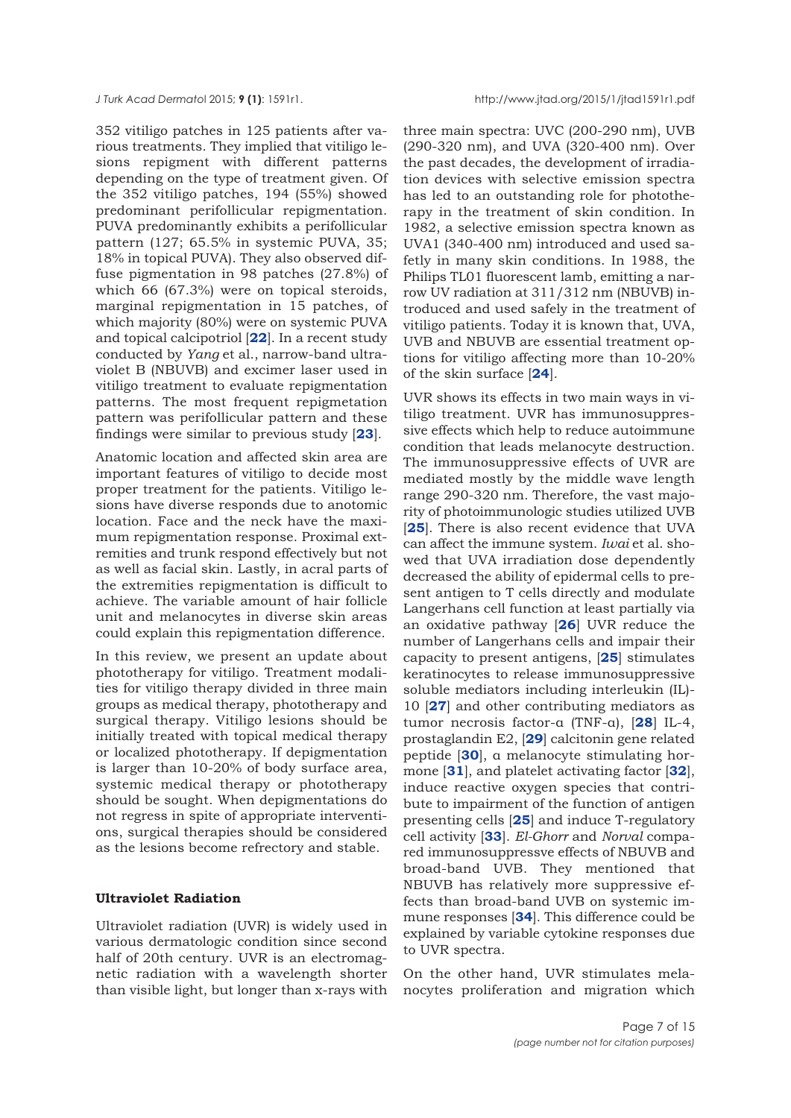352 vitiligo patches in 125 patients after various treatments. They implied that vitiligo lesions repigment with different patterns depending on the type of treatment given. Of the 352 vitiligo patches, 194 (55%) showed predominant perifollicular repigmentation. PUVA predominantly exhibits a perifollicular pattern (127; 65.5% in systemic PUVA, 35; 18% in topical PUVA). They also observed diffuse pigmentation in 98 patches (27.8%) of which 66 (67.3%) were on topical steroids, marginal repigmentation in 15 patches, of which majority (80%) were on systemic PUVA and topical calcipotriol [**[22](#page-11-0)**]. In a recent study conducted by *Yang* et al., narrow-band ultraviolet B (NBUVB) and excimer laser used in vitiligo treatment to evaluate repigmentation patterns. The most frequent repigmetation pattern was perifollicular pattern and these findings were similar to previous study [**[23](#page-11-0)**].

Anatomic location and affected skin area are important features of vitiligo to decide most proper treatment for the patients. Vitiligo lesions have diverse responds due to anotomic location. Face and the neck have the maximum repigmentation response. Proximal extremities and trunk respond effectively but not as well as facial skin. Lastly, in acral parts of the extremities repigmentation is difficult to achieve. The variable amount of hair follicle unit and melanocytes in diverse skin areas could explain this repigmentation difference.

In this review, we present an update about phototherapy for vitiligo. Treatment modalities for vitiligo therapy divided in three main groups as medical therapy, phototherapy and surgical therapy. Vitiligo lesions should be initially treated with topical medical therapy or localized phototherapy. If depigmentation is larger than 10-20% of body surface area, systemic medical therapy or phototherapy should be sought. When depigmentations do not regress in spite of appropriate interventions, surgical therapies should be considered as the lesions become refrectory and stable.

#### **Ultraviolet Radiation**

Ultraviolet radiation (UVR) is widely used in various dermatologic condition since second half of 20th century. UVR is an electromagnetic radiation with a wavelength shorter than visible light, but longer than x-rays with

three main spectra: UVC (200-290 nm), UVB (290-320 nm), and UVA (320-400 nm). Over the past decades, the development of irradiation devices with selective emission spectra has led to an outstanding role for phototherapy in the treatment of skin condition. In 1982, a selective emission spectra known as UVA1 (340-400 nm) introduced and used safetly in many skin conditions. In 1988, the Philips TL01 fluorescent lamb, emitting a narrow UV radiation at 311/312 nm (NBUVB) introduced and used safely in the treatment of vitiligo patients. Today it is known that, UVA, UVB and NBUVB are essential treatment options for vitiligo affecting more than 10-20% of the skin surface [**[24](#page-11-0)**].

UVR shows its effects in two main ways in vitiligo treatment. UVR has immunosuppressive effects which help to reduce autoimmune condition that leads melanocyte destruction. The immunosuppressive effects of UVR are mediated mostly by the middle wave length range 290-320 nm. Therefore, the vast majority of photoimmunologic studies utilized UVB [**[25](#page-11-0)**]. There is also recent evidence that UVA can affect the immune system. *Iwai* et al. showed that UVA irradiation dose dependently decreased the ability of epidermal cells to present antigen to T cells directly and modulate Langerhans cell function at least partially via an oxidative pathway [**[26](#page-11-0)**] UVR reduce the number of Langerhans cells and impair their capacity to present antigens, [**[25](#page-11-0)**] stimulates keratinocytes to release immunosuppressive soluble mediators including interleukin (IL)- 10 [**[27](#page-11-0)**] and other contributing mediators as tumor necrosis factor-α (TNF-α), [**[28](#page-11-0)**] IL-4, prostaglandin E2, [**[29](#page-11-0)**] calcitonin gene related peptide [**[30](#page-11-0)**], α melanocyte stimulating hormone [**[31](#page-12-0)**], and platelet activating factor [**32**], induce reactive oxygen species that contribute to impairment of the function of antigen presenting cells [**[25](#page-11-0)**] and induce T-regulatory cell activity [**[33](#page-12-0)**]. *El-Ghorr* and *Norval* compared immunosuppressve effects of NBUVB and broad-band UVB. They mentioned that NBUVB has relatively more suppressive effects than broad-band UVB on systemic immune responses [**[34](#page-12-0)**]. This difference could be explained by variable cytokine responses due to UVR spectra.

On the other hand, UVR stimulates melanocytes proliferation and migration which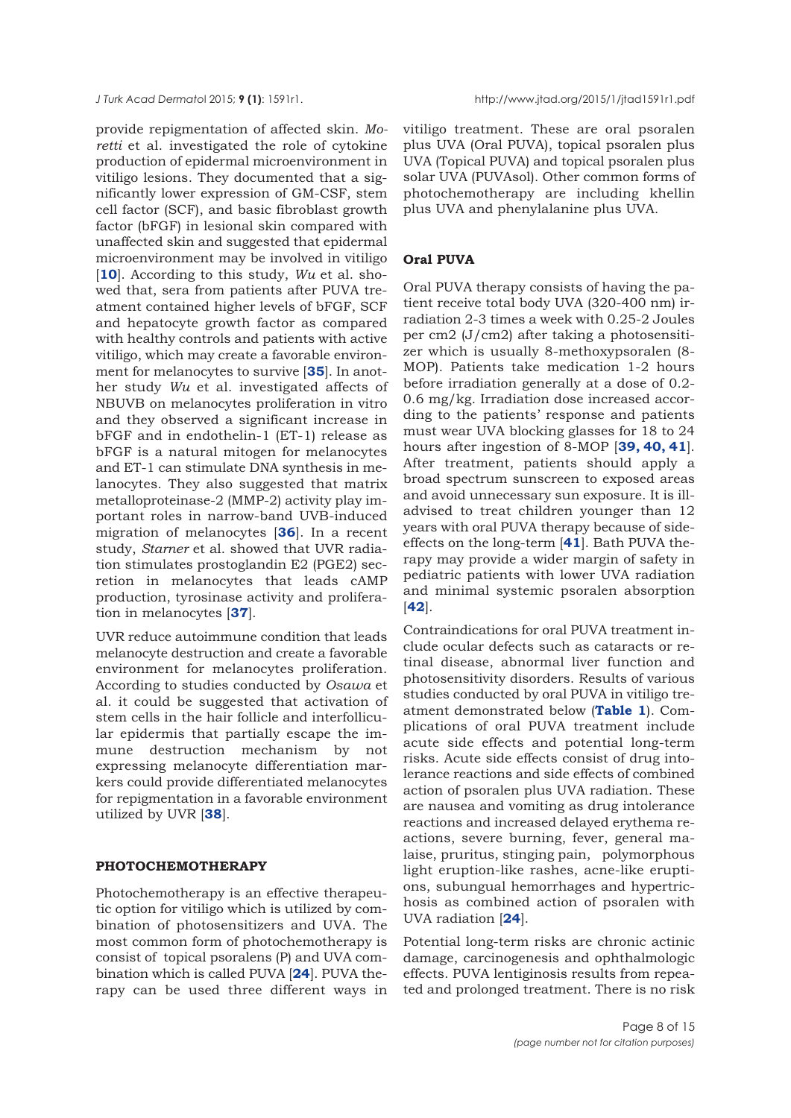provide repigmentation of affected skin. *Moretti* et al. investigated the role of cytokine production of epidermal microenvironment in vitiligo lesions. They documented that a significantly lower expression of GM-CSF, stem cell factor (SCF), and basic fibroblast growth factor (bFGF) in lesional skin compared with unaffected skin and suggested that epidermal microenvironment may be involved in vitiligo [**[10](#page-11-0)**]. According to this study, *Wu* et al. showed that, sera from patients after PUVA treatment contained higher levels of bFGF, SCF and hepatocyte growth factor as compared with healthy controls and patients with active vitiligo, which may create a favorable environment for melanocytes to survive [**[35](#page-12-0)**]. In another study *Wu* et al. investigated affects of NBUVB on melanocytes proliferation in vitro and they observed a significant increase in bFGF and in endothelin-1 (ET-1) release as bFGF is a natural mitogen for melanocytes and ET-1 can stimulate DNA synthesis in melanocytes. They also suggested that matrix metalloproteinase-2 (MMP-2) activity play important roles in narrow-band UVB-induced migration of melanocytes [**[36](#page-12-0)**]. In a recent study, *Starner* et al. showed that UVR radiation stimulates prostoglandin E2 (PGE2) secretion in melanocytes that leads cAMP production, tyrosinase activity and proliferation in melanocytes [**[37](#page-12-0)**].

UVR reduce autoimmune condition that leads melanocyte destruction and create a favorable environment for melanocytes proliferation. According to studies conducted by *Osawa* et al. it could be suggested that activation of stem cells in the hair follicle and interfollicular epidermis that partially escape the immune destruction mechanism by not expressing melanocyte differentiation markers could provide differentiated melanocytes for repigmentation in a favorable environment utilized by UVR [**[38](#page-12-0)**].

#### **PHOTOCHEMOTHERAPY**

Photochemotherapy is an effective therapeutic option for vitiligo which is utilized by combination of photosensitizers and UVA. The most common form of photochemotherapy is consist of topical psoralens (P) and UVA combination which is called PUVA [**[24](#page-11-0)**]. PUVA therapy can be used three different ways in

vitiligo treatment. These are oral psoralen plus UVA (Oral PUVA), topical psoralen plus UVA (Topical PUVA) and topical psoralen plus solar UVA (PUVAsol). Other common forms of photochemotherapy are including khellin plus UVA and phenylalanine plus UVA.

#### **Oral PUVA**

Oral PUVA therapy consists of having the patient receive total body UVA (320-400 nm) irradiation 2-3 times a week with 0.25-2 Joules per cm2 (J/cm2) after taking a photosensitizer which is usually 8-methoxypsoralen (8- MOP). Patients take medication 1-2 hours before irradiation generally at a dose of 0.2- 0.6 mg/kg. Irradiation dose increased according to the patients' response and patients must wear UVA blocking glasses for 18 to 24 hours after ingestion of 8-MOP [**[39, 40, 41](#page-12-0)**]. After treatment, patients should apply a broad spectrum sunscreen to exposed areas and avoid unnecessary sun exposure. It is illadvised to treat children younger than 12 years with oral PUVA therapy because of sideeffects on the long-term [**[41](#page-12-0)**]. Bath PUVA therapy may provide a wider margin of safety in pediatric patients with lower UVA radiation and minimal systemic psoralen absorption [**[42](#page-12-0)**].

Contraindications for oral PUVA treatment include ocular defects such as cataracts or retinal disease, abnormal liver function and photosensitivity disorders. Results of various studies conducted by oral PUVA in vitiligo treatment demonstrated below (**[Table 1](#page-2-0)**). Complications of oral PUVA treatment include acute side effects and potential long-term risks. Acute side effects consist of drug intolerance reactions and side effects of combined action of psoralen plus UVA radiation. These are nausea and vomiting as drug intolerance reactions and increased delayed erythema reactions, severe burning, fever, general malaise, pruritus, stinging pain, polymorphous light eruption-like rashes, acne-like eruptions, subungual hemorrhages and hypertrichosis as combined action of psoralen with UVA radiation [**[24](#page-11-0)**].

Potential long-term risks are chronic actinic damage, carcinogenesis and ophthalmologic effects. PUVA lentiginosis results from repeated and prolonged treatment. There is no risk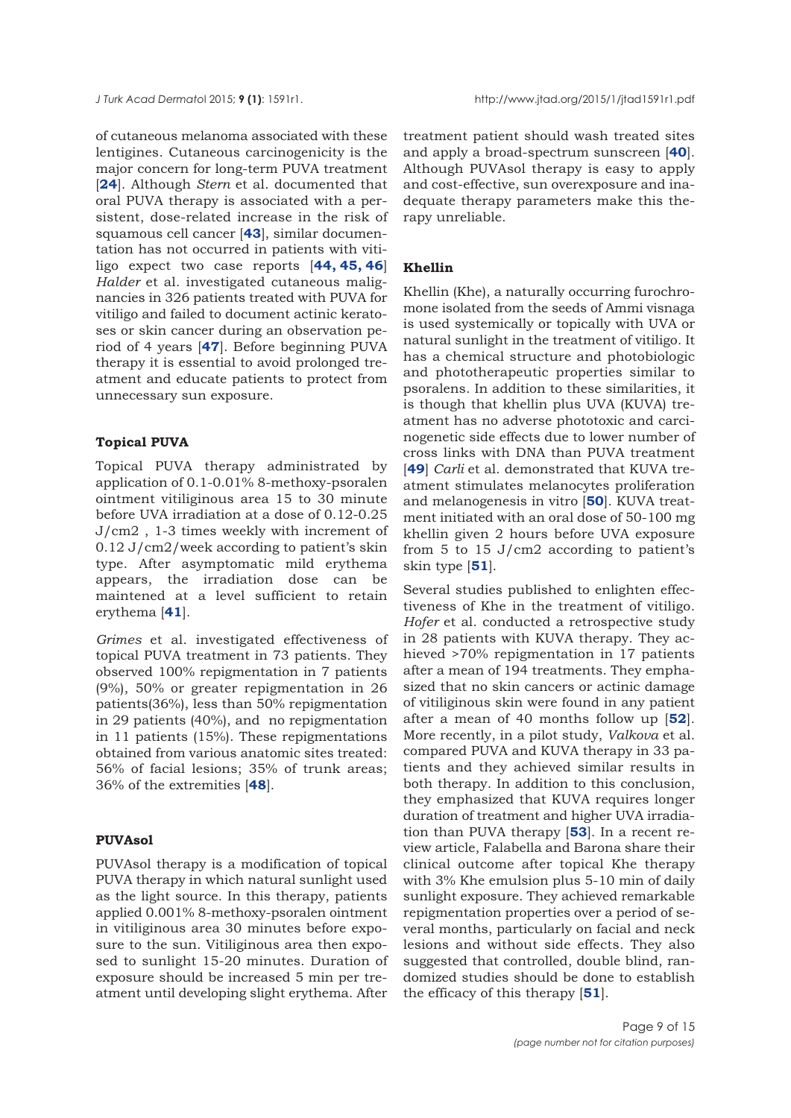of cutaneous melanoma associated with these lentigines. Cutaneous carcinogenicity is the major concern for long-term PUVA treatment [**[24](#page-11-0)**]. Although *Stern* et al. documented that oral PUVA therapy is associated with a persistent, dose-related increase in the risk of squamous cell cancer [**[43](#page-12-0)**], similar documentation has not occurred in patients with vitiligo expect two case reports [**[44, 45](#page-12-0), [46](#page-12-0)**] *Halder* et al. investigated cutaneous malignancies in 326 patients treated with PUVA for vitiligo and failed to document actinic keratoses or skin cancer during an observation period of 4 years [**[47](#page-12-0)**]. Before beginning PUVA therapy it is essential to avoid prolonged treatment and educate patients to protect from unnecessary sun exposure.

## **Topical PUVA**

Topical PUVA therapy administrated by application of 0.1-0.01% 8-methoxy-psoralen ointment vitiliginous area 15 to 30 minute before UVA irradiation at a dose of 0.12-0.25 J/cm2 , 1-3 times weekly with increment of 0.12 J/cm2/week according to patient's skin type. After asymptomatic mild erythema appears, the irradiation dose can be maintened at a level sufficient to retain erythema [**[41](#page-12-0)**].

*Grimes* et al. investigated effectiveness of topical PUVA treatment in 73 patients. They observed 100% repigmentation in 7 patients (9%), 50% or greater repigmentation in 26 patients(36%), less than 50% repigmentation in 29 patients (40%), and no repigmentation in 11 patients (15%). These repigmentations obtained from various anatomic sites treated: 56% of facial lesions; 35% of trunk areas; 36% of the extremities [**[48](#page-12-0)**].

## **PUVAsol**

PUVAsol therapy is a modification of topical PUVA therapy in which natural sunlight used as the light source. In this therapy, patients applied 0.001% 8-methoxy-psoralen ointment in vitiliginous area 30 minutes before exposure to the sun. Vitiliginous area then exposed to sunlight 15-20 minutes. Duration of exposure should be increased 5 min per treatment until developing slight erythema. After

treatment patient should wash treated sites and apply a broad-spectrum sunscreen [**[40](#page-12-0)**]. Although PUVAsol therapy is easy to apply and cost-effective, sun overexposure and inadequate therapy parameters make this therapy unreliable.

#### **Khellin**

Khellin (Khe), a naturally occurring furochromone isolated from the seeds of Ammi visnaga is used systemically or topically with UVA or natural sunlight in the treatment of vitiligo. It has a chemical structure and photobiologic and phototherapeutic properties similar to psoralens. In addition to these similarities, it is though that khellin plus UVA (KUVA) treatment has no adverse phototoxic and carcinogenetic side effects due to lower number of cross links with DNA than PUVA treatment [[49](#page-12-0)] *Carli* et al. demonstrated that KUVA treatment stimulates melanocytes proliferation and melanogenesis in vitro [**[50](#page-12-0)**]. KUVA treatment initiated with an oral dose of 50-100 mg khellin given 2 hours before UVA exposure from 5 to 15 J/cm2 according to patient's skin type [**[51](#page-12-0)**].

Several studies published to enlighten effectiveness of Khe in the treatment of vitiligo. *Hofer* et al. conducted a retrospective study in 28 patients with KUVA therapy. They achieved >70% repigmentation in 17 patients after a mean of 194 treatments. They emphasized that no skin cancers or actinic damage of vitiliginous skin were found in any patient after a mean of 40 months follow up [**[52](#page-12-0)**]. More recently, in a pilot study, *Valkova* et al. compared PUVA and KUVA therapy in 33 patients and they achieved similar results in both therapy. In addition to this conclusion, they emphasized that KUVA requires longer duration of treatment and higher UVA irradiation than PUVA therapy [**[53](#page-12-0)**]. In a recent review article, Falabella and Barona share their clinical outcome after topical Khe therapy with 3% Khe emulsion plus 5-10 min of daily sunlight exposure. They achieved remarkable repigmentation properties over a period of several months, particularly on facial and neck lesions and without side effects. They also suggested that controlled, double blind, randomized studies should be done to establish the efficacy of this therapy [**[51](#page-12-0)**].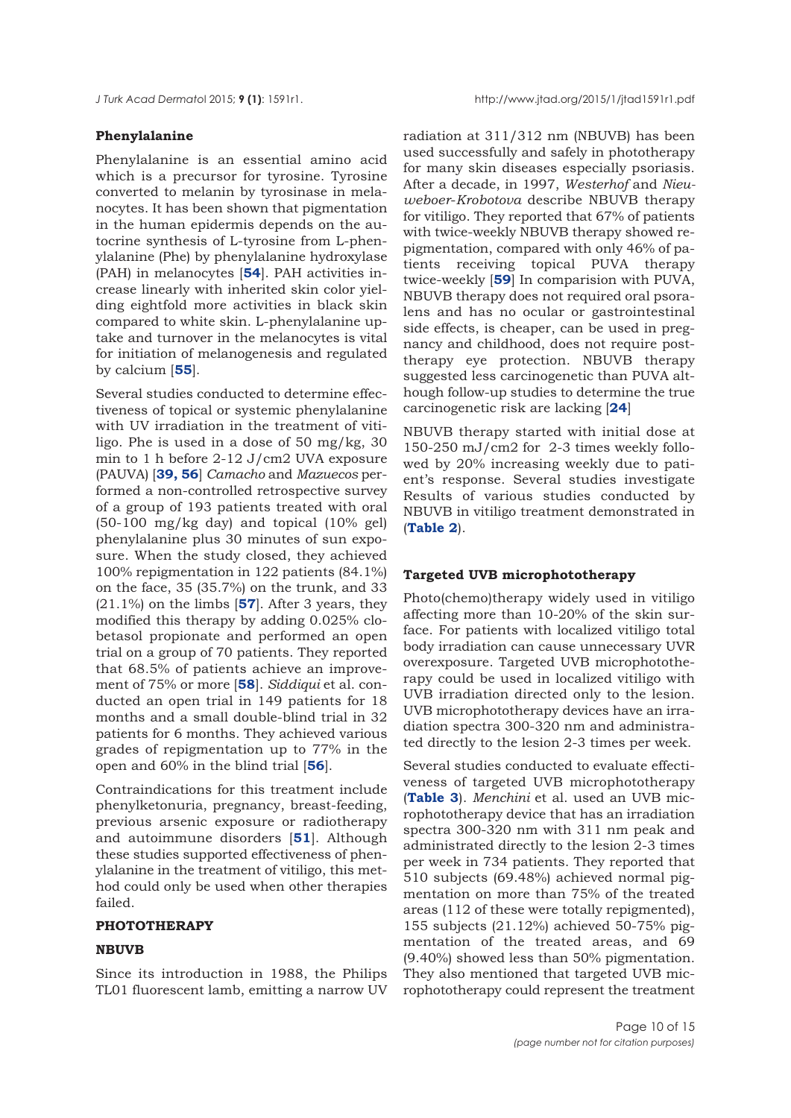#### **Phenylalanine**

Phenylalanine is an essential amino acid which is a precursor for tyrosine. Tyrosine converted to melanin by tyrosinase in melanocytes. It has been shown that pigmentation in the human epidermis depends on the autocrine synthesis of L-tyrosine from L-phenylalanine (Phe) by phenylalanine hydroxylase (PAH) in melanocytes [**[54](#page-12-0)**]. PAH activities increase linearly with inherited skin color yielding eightfold more activities in black skin compared to white skin. L-phenylalanine uptake and turnover in the melanocytes is vital for initiation of melanogenesis and regulated by calcium [**[55](#page-12-0)**].

Several studies conducted to determine effectiveness of topical or systemic phenylalanine with UV irradiation in the treatment of vitiligo. Phe is used in a dose of 50 mg/kg, 30 min to 1 h before 2-12 J/cm2 UVA exposure (PAUVA) [**[39, 56](#page-12-0)**] *Camacho* and *Mazuecos* performed a non-controlled retrospective survey of a group of 193 patients treated with oral (50-100 mg/kg day) and topical (10% gel) phenylalanine plus 30 minutes of sun exposure. When the study closed, they achieved 100% repigmentation in 122 patients (84.1%) on the face, 35 (35.7%) on the trunk, and 33 (21.1%) on the limbs [**[57](#page-12-0)**]. After 3 years, they modified this therapy by adding 0.025% clobetasol propionate and performed an open trial on a group of 70 patients. They reported that 68.5% of patients achieve an improvement of 75% or more [**[58](#page-12-0)**]. *Siddiqui* et al. conducted an open trial in 149 patients for 18 months and a small double-blind trial in 32 patients for 6 months. They achieved various grades of repigmentation up to 77% in the open and 60% in the blind trial [**[56](#page-12-0)**].

Contraindications for this treatment include phenylketonuria, pregnancy, breast-feeding, previous arsenic exposure or radiotherapy and autoimmune disorders [**[51](#page-12-0)**]. Although these studies supported effectiveness of phenylalanine in the treatment of vitiligo, this method could only be used when other therapies failed.

#### **PHOTOTHERAPY**

#### **NBUVB**

Since its introduction in 1988, the Philips TL01 fluorescent lamb, emitting a narrow UV radiation at 311/312 nm (NBUVB) has been used successfully and safely in phototherapy for many skin diseases especially psoriasis. After a decade, in 1997, *Westerhof* and *Nieuweboer*-*Krobotova* describe NBUVB therapy for vitiligo. They reported that 67% of patients with twice-weekly NBUVB therapy showed repigmentation, compared with only 46% of patients receiving topical PUVA therapy twice-weekly [**[59](#page-12-0)**] In comparision with PUVA, NBUVB therapy does not required oral psoralens and has no ocular or gastrointestinal side effects, is cheaper, can be used in pregnancy and childhood, does not require posttherapy eye protection. NBUVB therapy suggested less carcinogenetic than PUVA although follow-up studies to determine the true carcinogenetic risk are lacking [**[24](#page-11-0)**]

NBUVB therapy started with initial dose at 150-250 mJ/cm2 for 2-3 times weekly followed by 20% increasing weekly due to patient's response. Several studies investigate Results of various studies conducted by NBUVB in vitiligo treatment demonstrated in (**[Table 2](#page-3-0)**).

#### **Targeted UVB microphototherapy**

Photo(chemo)therapy widely used in vitiligo affecting more than 10-20% of the skin surface. For patients with localized vitiligo total body irradiation can cause unnecessary UVR overexposure. Targeted UVB microphototherapy could be used in localized vitiligo with UVB irradiation directed only to the lesion. UVB microphototherapy devices have an irradiation spectra 300-320 nm and administrated directly to the lesion 2-3 times per week.

Several studies conducted to evaluate effectiveness of targeted UVB microphototherapy (**[Table 3](#page-5-0)**). *Menchini* et al. used an UVB microphototherapy device that has an irradiation spectra 300-320 nm with 311 nm peak and administrated directly to the lesion 2-3 times per week in 734 patients. They reported that 510 subjects (69.48%) achieved normal pigmentation on more than 75% of the treated areas (112 of these were totally repigmented), 155 subjects (21.12%) achieved 50-75% pigmentation of the treated areas, and 69 (9.40%) showed less than 50% pigmentation. They also mentioned that targeted UVB microphototherapy could represent the treatment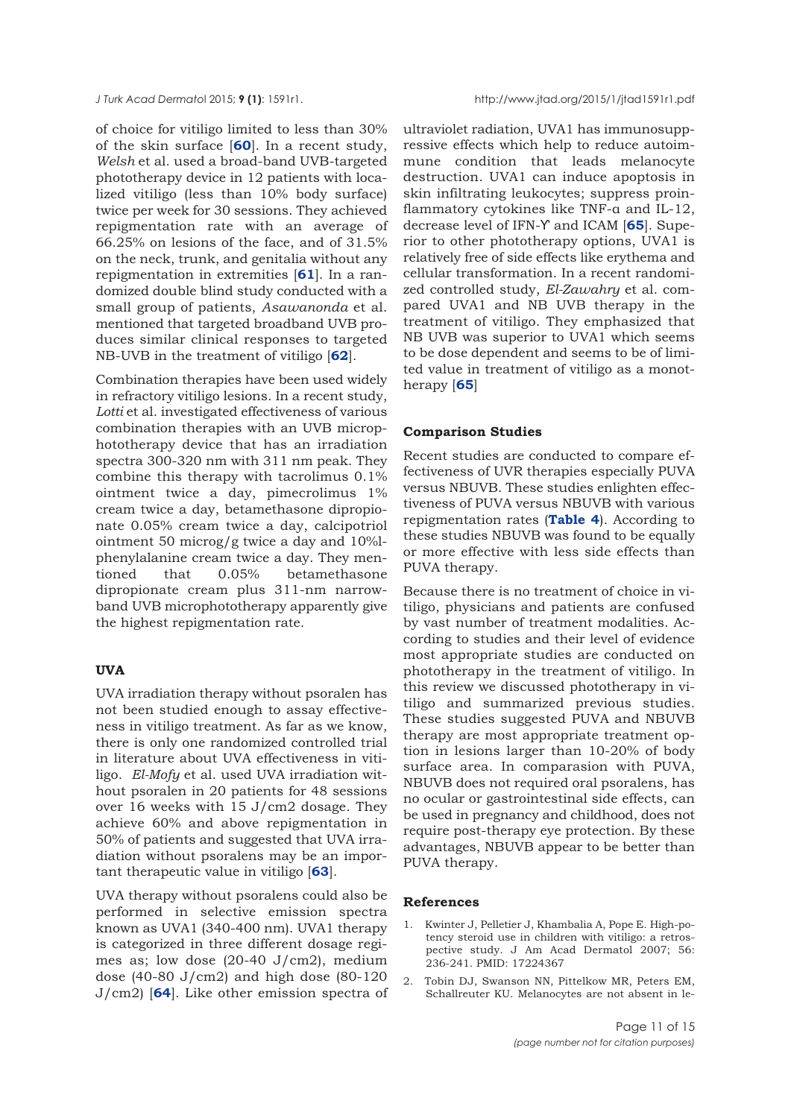<span id="page-10-0"></span>

of choice for vitiligo limited to less than 30% of the skin surface [**[60](#page-12-0)**]. In a recent study, *Welsh* et al. used a broad-band UVB-targeted phototherapy device in 12 patients with localized vitiligo (less than 10% body surface) twice per week for 30 sessions. They achieved repigmentation rate with an average of 66.25% on lesions of the face, and of 31.5% on the neck, trunk, and genitalia without any repigmentation in extremities [**[61](#page-12-0)**]. In a randomized double blind study conducted with a small group of patients, *Asawanonda* et al. mentioned that targeted broadband UVB produces similar clinical responses to targeted NB-UVB in the treatment of vitiligo [**[62](#page-13-0)**].

Combination therapies have been used widely in refractory vitiligo lesions. In a recent study, *Lotti* et al. investigated effectiveness of various combination therapies with an UVB microphototherapy device that has an irradiation spectra 300-320 nm with 311 nm peak. They combine this therapy with tacrolimus 0.1% ointment twice a day, pimecrolimus 1% cream twice a day, betamethasone dipropionate 0.05% cream twice a day, calcipotriol ointment 50 microg/g twice a day and 10%lphenylalanine cream twice a day. They mentioned that 0.05% betamethasone dipropionate cream plus 311-nm narrowband UVB microphototherapy apparently give the highest repigmentation rate.

#### **UVA**

UVA irradiation therapy without psoralen has not been studied enough to assay effectiveness in vitiligo treatment. As far as we know, there is only one randomized controlled trial in literature about UVA effectiveness in vitiligo. *El-Mofy* et al. used UVA irradiation without psoralen in 20 patients for 48 sessions over 16 weeks with 15 J/cm2 dosage. They achieve 60% and above repigmentation in 50% of patients and suggested that UVA irradiation without psoralens may be an important therapeutic value in vitiligo [**[63](#page-13-0)**].

UVA therapy without psoralens could also be performed in selective emission spectra known as UVA1 (340-400 nm). UVA1 therapy is categorized in three different dosage regimes as; low dose (20-40 J/cm2), medium dose (40-80 J/cm2) and high dose (80-120 J/cm2) [**[64](#page-13-0)**]. Like other emission spectra of

ultraviolet radiation, UVA1 has immunosuppressive effects which help to reduce autoimmune condition that leads melanocyte destruction. UVA1 can induce apoptosis in skin infiltrating leukocytes; suppress proinflammatory cytokines like TNF-α and IL-12, decrease level of IFN-Ƴ and ICAM [**[65](#page-13-0)**]. Superior to other phototherapy options, UVA1 is relatively free of side effects like erythema and cellular transformation. In a recent randomized controlled study, *El-Zawahry* et al. compared UVA1 and NB UVB therapy in the treatment of vitiligo. They emphasized that NB UVB was superior to UVA1 which seems to be dose dependent and seems to be of limited value in treatment of vitiligo as a monotherapy [**[65](#page-13-0)**]

#### **Comparison Studies**

Recent studies are conducted to compare effectiveness of UVR therapies especially PUVA versus NBUVB. These studies enlighten effectiveness of PUVA versus NBUVB with various repigmentation rates (**[Table 4](#page-5-0)**). According to these studies NBUVB was found to be equally or more effective with less side effects than PUVA therapy.

Because there is no treatment of choice in vitiligo, physicians and patients are confused by vast number of treatment modalities. According to studies and their level of evidence most appropriate studies are conducted on phototherapy in the treatment of vitiligo. In this review we discussed phototherapy in vitiligo and summarized previous studies. These studies suggested PUVA and NBUVB therapy are most appropriate treatment option in lesions larger than 10-20% of body surface area. In comparasion with PUVA, NBUVB does not required oral psoralens, has no ocular or gastrointestinal side effects, can be used in pregnancy and childhood, does not require post-therapy eye protection. By these advantages, NBUVB appear to be better than PUVA therapy.

#### **References**

- 1. Kwinter J, Pelletier J, Khambalia A, Pope E. High-potency steroid use in children with vitiligo: a retrospective study. J Am Acad Dermatol 2007; 56: 236-241. PMID: 17224367
- 2. Tobin DJ, Swanson NN, Pittelkow MR, Peters EM, Schallreuter KU. Melanocytes are not absent in le-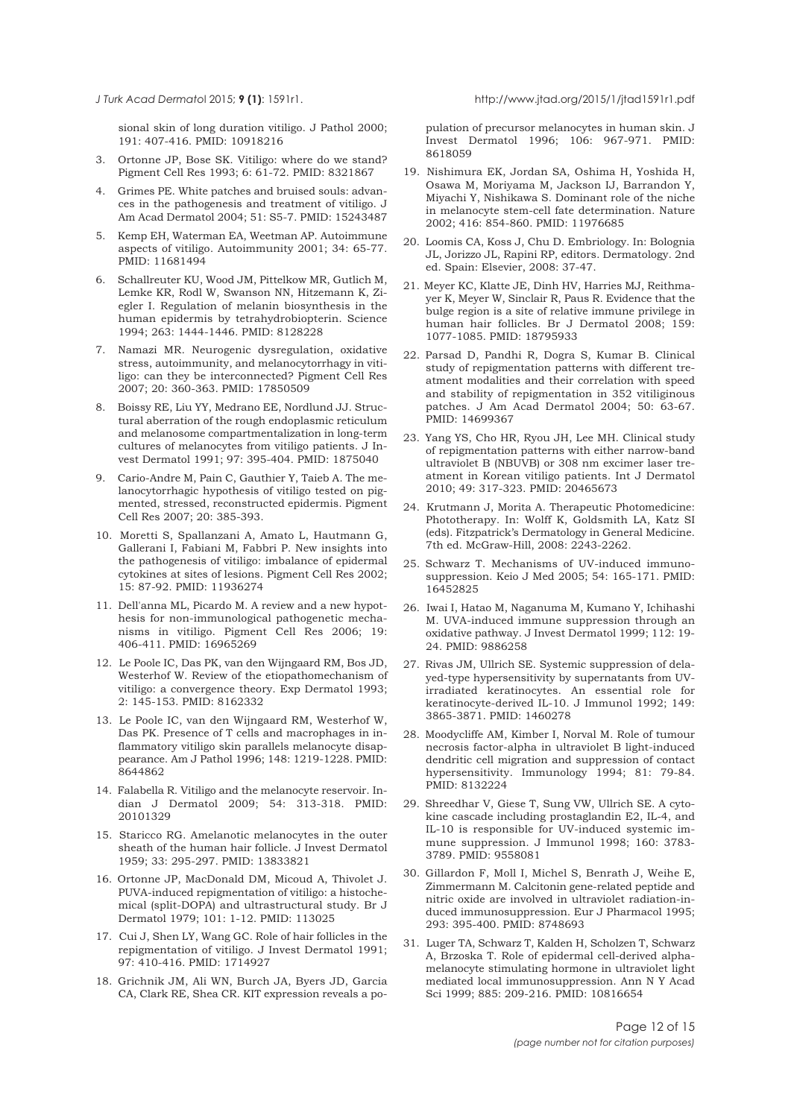sional skin of long duration vitiligo. J Pathol 2000; 191: 407-416. PMID: 10918216

- 3. Ortonne JP, Bose SK. Vitiligo: where do we stand? Pigment Cell Res 1993; 6: 61-72. PMID: 8321867
- 4. Grimes PE. White patches and bruised souls: advances in the pathogenesis and treatment of vitiligo. J Am Acad Dermatol 2004; 51: S5-7. PMID: 15243487
- 5. Kemp EH, Waterman EA, Weetman AP. Autoimmune aspects of vitiligo. Autoimmunity 2001; 34: 65-77. PMID: 11681494
- 6. Schallreuter KU, Wood JM, Pittelkow MR, Gutlich M, Lemke KR, Rodl W, Swanson NN, Hitzemann K, Ziegler I. Regulation of melanin biosynthesis in the human epidermis by tetrahydrobiopterin. Science 1994; 263: 1444-1446. PMID: 8128228
- 7. Namazi MR. Neurogenic dysregulation, oxidative stress, autoimmunity, and melanocytorrhagy in vitiligo: can they be interconnected? Pigment Cell Res 2007; 20: 360-363. PMID: 17850509
- 8. Boissy RE, Liu YY, Medrano EE, Nordlund JJ. Structural aberration of the rough endoplasmic reticulum and melanosome compartmentalization in long-term cultures of melanocytes from vitiligo patients. J Invest Dermatol 1991; 97: 395-404. PMID: 1875040
- 9. Cario-Andre M, Pain C, Gauthier Y, Taieb A. The melanocytorrhagic hypothesis of vitiligo tested on pigmented, stressed, reconstructed epidermis. Pigment Cell Res 2007; 20: 385-393.
- 10. Moretti S, Spallanzani A, Amato L, Hautmann G, Gallerani I, Fabiani M, Fabbri P. New insights into the pathogenesis of vitiligo: imbalance of epidermal cytokines at sites of lesions. Pigment Cell Res 2002; 15: 87-92. PMID: 11936274
- 11. Dell'anna ML, Picardo M. A review and a new hypothesis for non-immunological pathogenetic mechanisms in vitiligo. Pigment Cell Res 2006; 19: 406-411. PMID: 16965269
- 12. Le Poole IC, Das PK, van den Wijngaard RM, Bos JD, Westerhof W. Review of the etiopathomechanism of vitiligo: a convergence theory. Exp Dermatol 1993; 2: 145-153. PMID: 8162332
- 13. Le Poole IC, van den Wijngaard RM, Westerhof W, Das PK. Presence of T cells and macrophages in inflammatory vitiligo skin parallels melanocyte disappearance. Am J Pathol 1996; 148: 1219-1228. PMID: 8644862
- 14. Falabella R. Vitiligo and the melanocyte reservoir. Indian J Dermatol 2009; 54: 313-318. PMID: 20101329
- 15. Staricco RG. Amelanotic melanocytes in the outer sheath of the human hair follicle. J Invest Dermatol 1959; 33: 295-297. PMID: 13833821
- 16. Ortonne JP, MacDonald DM, Micoud A, Thivolet J. PUVA-induced repigmentation of vitiligo: a histochemical (split-DOPA) and ultrastructural study. Br J Dermatol 1979; 101: 1-12. PMID: 113025
- 17. Cui J, Shen LY, Wang GC. Role of hair follicles in the repigmentation of vitiligo. J Invest Dermatol 1991; 97: 410-416. PMID: 1714927
- 18. Grichnik JM, Ali WN, Burch JA, Byers JD, Garcia CA, Clark RE, Shea CR. KIT expression reveals a po-

pulation of precursor melanocytes in human skin. J Invest Dermatol 1996; 106: 967-971. PMID: 8618059

- 19. Nishimura EK, Jordan SA, Oshima H, Yoshida H, Osawa M, Moriyama M, Jackson IJ, Barrandon Y, Miyachi Y, Nishikawa S. Dominant role of the niche in melanocyte stem-cell fate determination. Nature 2002; 416: 854-860. PMID: 11976685
- 20. Loomis CA, Koss J, Chu D. Embriology. In: Bolognia JL, Jorizzo JL, Rapini RP, editors. Dermatology. 2nd ed. Spain: Elsevier, 2008: 37-47.
- 21. Meyer KC, Klatte JE, Dinh HV, Harries MJ, Reithmayer K, Meyer W, Sinclair R, Paus R. Evidence that the bulge region is a site of relative immune privilege in human hair follicles. Br J Dermatol 2008; 159: 1077-1085. PMID: 18795933
- 22. Parsad D, Pandhi R, Dogra S, Kumar B. Clinical study of repigmentation patterns with different treatment modalities and their correlation with speed and stability of repigmentation in 352 vitiliginous patches. J Am Acad Dermatol 2004; 50: 63-67. PMID: 14699367
- 23. Yang YS, Cho HR, Ryou JH, Lee MH. Clinical study of repigmentation patterns with either narrow-band ultraviolet B (NBUVB) or 308 nm excimer laser treatment in Korean vitiligo patients. Int J Dermatol 2010; 49: 317-323. PMID: 20465673
- 24. Krutmann J, Morita A. Therapeutic Photomedicine: Phototherapy. In: Wolff K, Goldsmith LA, Katz SI (eds). Fitzpatrick's Dermatology in General Medicine. 7th ed. McGraw-Hill, 2008: 2243-2262.
- 25. Schwarz T. Mechanisms of UV-induced immunosuppression. Keio J Med 2005; 54: 165-171. PMID: 16452825
- 26. Iwai I, Hatao M, Naganuma M, Kumano Y, Ichihashi M. UVA-induced immune suppression through an oxidative pathway. J Invest Dermatol 1999; 112: 19- 24. PMID: 9886258
- 27. Rivas JM, Ullrich SE. Systemic suppression of delayed-type hypersensitivity by supernatants from UVirradiated keratinocytes. An essential role for keratinocyte-derived IL-10. J Immunol 1992; 149: 3865-3871. PMID: 1460278
- 28. Moodycliffe AM, Kimber I, Norval M. Role of tumour necrosis factor-alpha in ultraviolet B light-induced dendritic cell migration and suppression of contact hypersensitivity. Immunology 1994; 81: 79-84. PMID: 8132224
- 29. Shreedhar V, Giese T, Sung VW, Ullrich SE. A cytokine cascade including prostaglandin E2, IL-4, and IL-10 is responsible for UV-induced systemic immune suppression. J Immunol 1998; 160: 3783- 3789. PMID: 9558081
- 30. Gillardon F, Moll I, Michel S, Benrath J, Weihe E, Zimmermann M. Calcitonin gene-related peptide and nitric oxide are involved in ultraviolet radiation-induced immunosuppression. Eur J Pharmacol 1995; 293: 395-400. PMID: 8748693
- 31. Luger TA, Schwarz T, Kalden H, Scholzen T, Schwarz A, Brzoska T. Role of epidermal cell-derived alphamelanocyte stimulating hormone in ultraviolet light mediated local immunosuppression. Ann N Y Acad Sci 1999; 885: 209-216. PMID: 10816654

<span id="page-11-0"></span>*J Turk Acad Dermato*l 2015; **9 (1)**: 1591r1. http://www.jtad.org/2015/1/jtad1591r1.pdf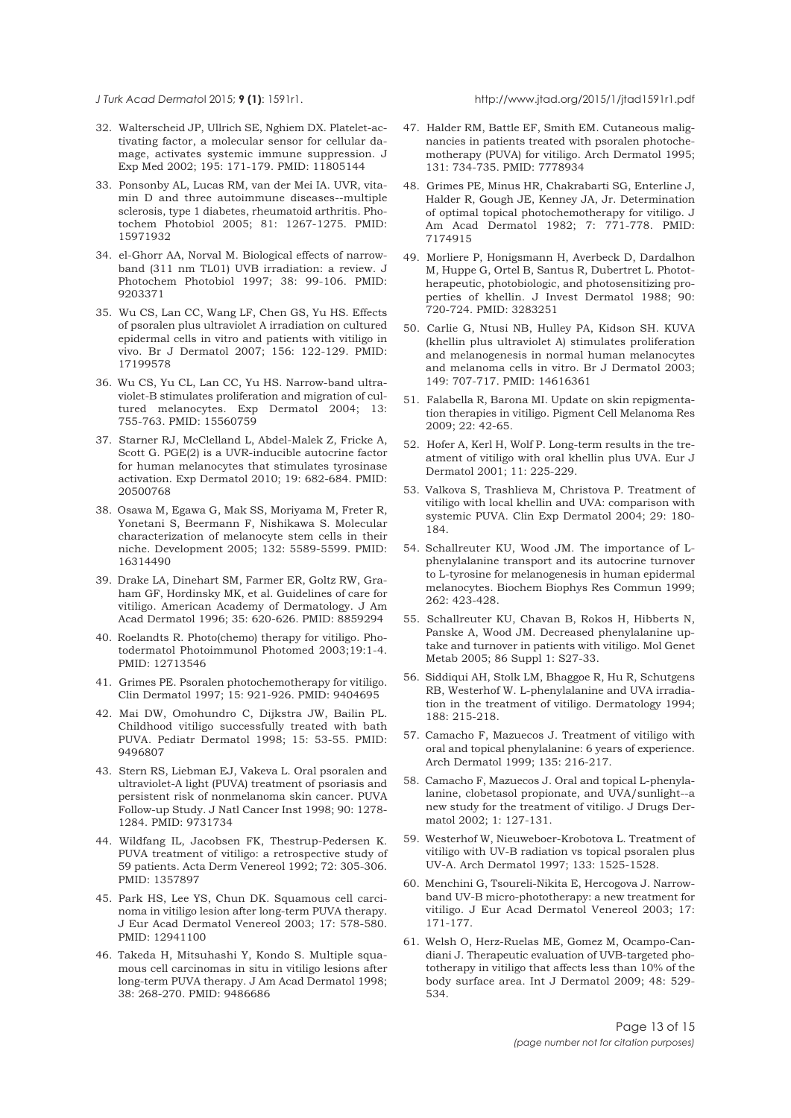<span id="page-12-0"></span>

- 32. Walterscheid JP, Ullrich SE, Nghiem DX. Platelet-activating factor, a molecular sensor for cellular damage, activates systemic immune suppression. J Exp Med 2002; 195: 171-179. PMID: 11805144
- 33. Ponsonby AL, Lucas RM, van der Mei IA. UVR, vitamin D and three autoimmune diseases--multiple sclerosis, type 1 diabetes, rheumatoid arthritis. Photochem Photobiol 2005; 81: 1267-1275. PMID: 15971932
- 34. el-Ghorr AA, Norval M. Biological effects of narrowband (311 nm TL01) UVB irradiation: a review. J Photochem Photobiol 1997; 38: 99-106. PMID: 9203371
- 35. Wu CS, Lan CC, Wang LF, Chen GS, Yu HS. Effects of psoralen plus ultraviolet A irradiation on cultured epidermal cells in vitro and patients with vitiligo in vivo. Br J Dermatol 2007; 156: 122-129. PMID: 17199578
- 36. Wu CS, Yu CL, Lan CC, Yu HS. Narrow-band ultraviolet-B stimulates proliferation and migration of cultured melanocytes. Exp Dermatol 2004; 13: 755-763. PMID: 15560759
- 37. Starner RJ, McClelland L, Abdel-Malek Z, Fricke A, Scott G. PGE(2) is a UVR-inducible autocrine factor for human melanocytes that stimulates tyrosinase activation. Exp Dermatol 2010; 19: 682-684. PMID: 20500768
- 38. Osawa M, Egawa G, Mak SS, Moriyama M, Freter R, Yonetani S, Beermann F, Nishikawa S. Molecular characterization of melanocyte stem cells in their niche. Development 2005; 132: 5589-5599. PMID: 16314490
- 39. Drake LA, Dinehart SM, Farmer ER, Goltz RW, Graham GF, Hordinsky MK, et al. Guidelines of care for vitiligo. American Academy of Dermatology. J Am Acad Dermatol 1996; 35: 620-626. PMID: 8859294
- 40. Roelandts R. Photo(chemo) therapy for vitiligo. Photodermatol Photoimmunol Photomed 2003;19:1-4. PMID: 12713546
- 41. Grimes PE. Psoralen photochemotherapy for vitiligo. Clin Dermatol 1997; 15: 921-926. PMID: 9404695
- 42. Mai DW, Omohundro C, Dijkstra JW, Bailin PL. Childhood vitiligo successfully treated with bath PUVA. Pediatr Dermatol 1998; 15: 53-55. PMID: 9496807
- 43. Stern RS, Liebman EJ, Vakeva L. Oral psoralen and ultraviolet-A light (PUVA) treatment of psoriasis and persistent risk of nonmelanoma skin cancer. PUVA Follow-up Study. J Natl Cancer Inst 1998; 90: 1278- 1284. PMID: 9731734
- 44. Wildfang IL, Jacobsen FK, Thestrup-Pedersen K. PUVA treatment of vitiligo: a retrospective study of 59 patients. Acta Derm Venereol 1992; 72: 305-306. PMID: 1357897
- 45. Park HS, Lee YS, Chun DK. Squamous cell carcinoma in vitiligo lesion after long-term PUVA therapy. J Eur Acad Dermatol Venereol 2003; 17: 578-580. PMID: 12941100
- 46. Takeda H, Mitsuhashi Y, Kondo S. Multiple squamous cell carcinomas in situ in vitiligo lesions after long-term PUVA therapy. J Am Acad Dermatol 1998; 38: 268-270. PMID: 9486686
- 47. Halder RM, Battle EF, Smith EM. Cutaneous malignancies in patients treated with psoralen photochemotherapy (PUVA) for vitiligo. Arch Dermatol 1995; 131: 734-735. PMID: 7778934
- 48. Grimes PE, Minus HR, Chakrabarti SG, Enterline J, Halder R, Gough JE, Kenney JA, Jr. Determination of optimal topical photochemotherapy for vitiligo. J Am Acad Dermatol 1982; 7: 771-778. PMID: 7174915
- 49. Morliere P, Honigsmann H, Averbeck D, Dardalhon M, Huppe G, Ortel B, Santus R, Dubertret L. Phototherapeutic, photobiologic, and photosensitizing properties of khellin. J Invest Dermatol 1988; 90: 720-724. PMID: 3283251
- 50. Carlie G, Ntusi NB, Hulley PA, Kidson SH. KUVA (khellin plus ultraviolet A) stimulates proliferation and melanogenesis in normal human melanocytes and melanoma cells in vitro. Br J Dermatol 2003; 149: 707-717. PMID: 14616361
- 51. Falabella R, Barona MI. Update on skin repigmentation therapies in vitiligo. Pigment Cell Melanoma Res 2009; 22: 42-65.
- 52. Hofer A, Kerl H, Wolf P. Long-term results in the treatment of vitiligo with oral khellin plus UVA. Eur J Dermatol 2001; 11: 225-229.
- 53. Valkova S, Trashlieva M, Christova P. Treatment of vitiligo with local khellin and UVA: comparison with systemic PUVA. Clin Exp Dermatol 2004; 29: 180- 184.
- 54. Schallreuter KU, Wood JM. The importance of Lphenylalanine transport and its autocrine turnover to L-tyrosine for melanogenesis in human epidermal melanocytes. Biochem Biophys Res Commun 1999; 262: 423-428.
- 55. Schallreuter KU, Chavan B, Rokos H, Hibberts N, Panske A, Wood JM. Decreased phenylalanine uptake and turnover in patients with vitiligo. Mol Genet Metab 2005; 86 Suppl 1: S27-33.
- 56. Siddiqui AH, Stolk LM, Bhaggoe R, Hu R, Schutgens RB, Westerhof W. L-phenylalanine and UVA irradiation in the treatment of vitiligo. Dermatology 1994; 188: 215-218.
- 57. Camacho F, Mazuecos J. Treatment of vitiligo with oral and topical phenylalanine: 6 years of experience. Arch Dermatol 1999; 135: 216-217.
- 58. Camacho F, Mazuecos J. Oral and topical L-phenylalanine, clobetasol propionate, and UVA/sunlight--a new study for the treatment of vitiligo. J Drugs Dermatol 2002; 1: 127-131.
- 59. Westerhof W, Nieuweboer-Krobotova L. Treatment of vitiligo with UV-B radiation vs topical psoralen plus UV-A. Arch Dermatol 1997; 133: 1525-1528.
- 60. Menchini G, Tsoureli-Nikita E, Hercogova J. Narrowband UV-B micro-phototherapy: a new treatment for vitiligo. J Eur Acad Dermatol Venereol 2003; 17: 171-177.
- 61. Welsh O, Herz-Ruelas ME, Gomez M, Ocampo-Candiani J. Therapeutic evaluation of UVB-targeted phototherapy in vitiligo that affects less than 10% of the body surface area. Int J Dermatol 2009; 48: 529- 534.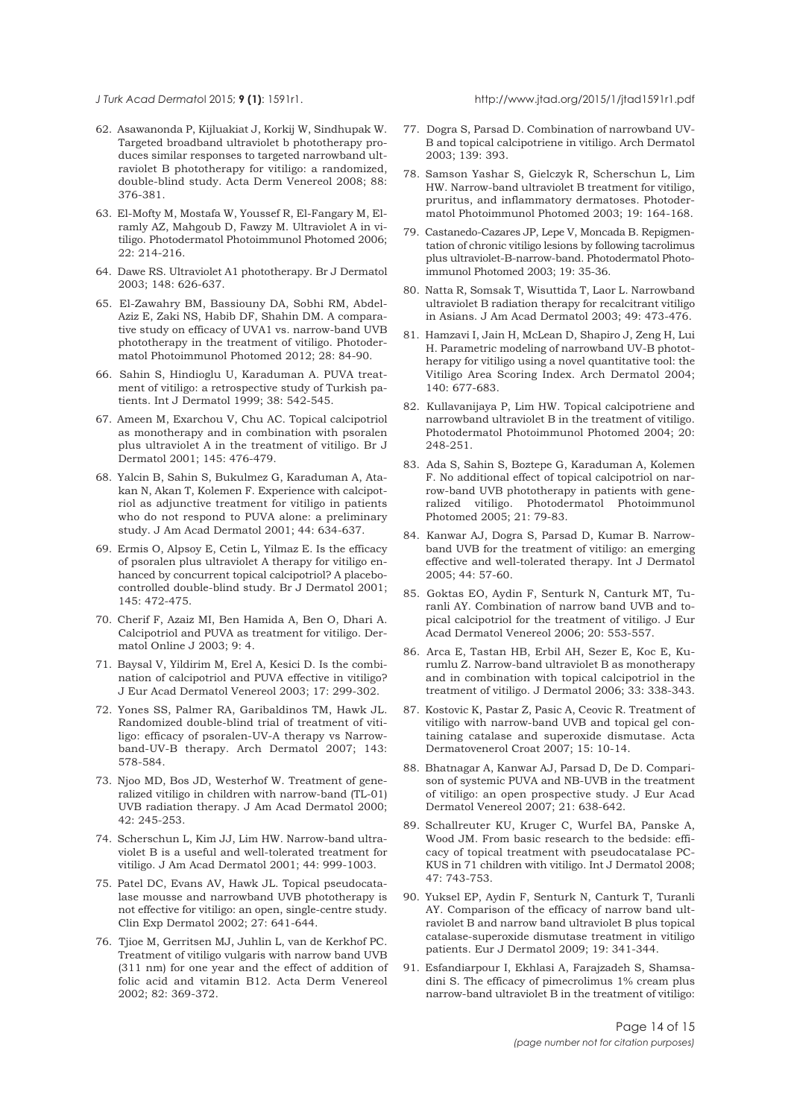<span id="page-13-0"></span>

- 62. Asawanonda P, Kijluakiat J, Korkij W, Sindhupak W. Targeted broadband ultraviolet b phototherapy produces similar responses to targeted narrowband ultraviolet B phototherapy for vitiligo: a randomized, double-blind study. Acta Derm Venereol 2008; 88: 376-381.
- 63. El-Mofty M, Mostafa W, Youssef R, El-Fangary M, Elramly AZ, Mahgoub D, Fawzy M. Ultraviolet A in vitiligo. Photodermatol Photoimmunol Photomed 2006; 22: 214-216.
- 64. Dawe RS. Ultraviolet A1 phototherapy. Br J Dermatol 2003; 148: 626-637.
- 65. El-Zawahry BM, Bassiouny DA, Sobhi RM, Abdel-Aziz E, Zaki NS, Habib DF, Shahin DM. A comparative study on efficacy of UVA1 vs. narrow-band UVB phototherapy in the treatment of vitiligo. Photodermatol Photoimmunol Photomed 2012; 28: 84-90.
- 66. Sahin S, Hindioglu U, Karaduman A. PUVA treatment of vitiligo: a retrospective study of Turkish patients. Int J Dermatol 1999; 38: 542-545.
- 67. Ameen M, Exarchou V, Chu AC. Topical calcipotriol as monotherapy and in combination with psoralen plus ultraviolet A in the treatment of vitiligo. Br J Dermatol 2001; 145: 476-479.
- 68. Yalcin B, Sahin S, Bukulmez G, Karaduman A, Atakan N, Akan T, Kolemen F. Experience with calcipotriol as adjunctive treatment for vitiligo in patients who do not respond to PUVA alone: a preliminary study. J Am Acad Dermatol 2001; 44: 634-637.
- 69. Ermis O, Alpsoy E, Cetin L, Yilmaz E. Is the efficacy of psoralen plus ultraviolet A therapy for vitiligo enhanced by concurrent topical calcipotriol? A placebocontrolled double-blind study. Br J Dermatol 2001; 145: 472-475.
- 70. Cherif F, Azaiz MI, Ben Hamida A, Ben O, Dhari A. Calcipotriol and PUVA as treatment for vitiligo. Dermatol Online J 2003; 9: 4.
- 71. Baysal V, Yildirim M, Erel A, Kesici D. Is the combination of calcipotriol and PUVA effective in vitiligo? J Eur Acad Dermatol Venereol 2003; 17: 299-302.
- 72. Yones SS, Palmer RA, Garibaldinos TM, Hawk JL. Randomized double-blind trial of treatment of vitiligo: efficacy of psoralen-UV-A therapy vs Narrowband-UV-B therapy. Arch Dermatol 2007; 143: 578-584.
- 73. Njoo MD, Bos JD, Westerhof W. Treatment of generalized vitiligo in children with narrow-band (TL-01) UVB radiation therapy. J Am Acad Dermatol 2000; 42: 245-253.
- 74. Scherschun L, Kim JJ, Lim HW. Narrow-band ultraviolet B is a useful and well-tolerated treatment for vitiligo. J Am Acad Dermatol 2001; 44: 999-1003.
- 75. Patel DC, Evans AV, Hawk JL. Topical pseudocatalase mousse and narrowband UVB phototherapy is not effective for vitiligo: an open, single-centre study. Clin Exp Dermatol 2002; 27: 641-644.
- 76. Tjioe M, Gerritsen MJ, Juhlin L, van de Kerkhof PC. Treatment of vitiligo vulgaris with narrow band UVB (311 nm) for one year and the effect of addition of folic acid and vitamin B12. Acta Derm Venereol 2002; 82: 369-372.
- 77. Dogra S, Parsad D. Combination of narrowband UV-B and topical calcipotriene in vitiligo. Arch Dermatol 2003; 139: 393.
- 78. Samson Yashar S, Gielczyk R, Scherschun L, Lim HW. Narrow-band ultraviolet B treatment for vitiligo, pruritus, and inflammatory dermatoses. Photodermatol Photoimmunol Photomed 2003; 19: 164-168.
- 79. Castanedo-Cazares JP, Lepe V, Moncada B. Repigmentation of chronic vitiligo lesions by following tacrolimus plus ultraviolet-B-narrow-band. Photodermatol Photoimmunol Photomed 2003; 19: 35-36.
- 80. Natta R, Somsak T, Wisuttida T, Laor L. Narrowband ultraviolet B radiation therapy for recalcitrant vitiligo in Asians. J Am Acad Dermatol 2003; 49: 473-476.
- 81. Hamzavi I, Jain H, McLean D, Shapiro J, Zeng H, Lui H. Parametric modeling of narrowband UV-B phototherapy for vitiligo using a novel quantitative tool: the Vitiligo Area Scoring Index. Arch Dermatol 2004; 140: 677-683.
- 82. Kullavanijaya P, Lim HW. Topical calcipotriene and narrowband ultraviolet B in the treatment of vitiligo. Photodermatol Photoimmunol Photomed 2004; 20: 248-251.
- 83. Ada S, Sahin S, Boztepe G, Karaduman A, Kolemen F. No additional effect of topical calcipotriol on narrow-band UVB phototherapy in patients with generalized vitiligo. Photodermatol Photoimmunol Photomed 2005; 21: 79-83.
- 84. Kanwar AJ, Dogra S, Parsad D, Kumar B. Narrowband UVB for the treatment of vitiligo: an emerging effective and well-tolerated therapy. Int J Dermatol 2005; 44: 57-60.
- 85. Goktas EO, Aydin F, Senturk N, Canturk MT, Turanli AY. Combination of narrow band UVB and topical calcipotriol for the treatment of vitiligo. J Eur Acad Dermatol Venereol 2006; 20: 553-557.
- 86. Arca E, Tastan HB, Erbil AH, Sezer E, Koc E, Kurumlu Z. Narrow-band ultraviolet B as monotherapy and in combination with topical calcipotriol in the treatment of vitiligo. J Dermatol 2006; 33: 338-343.
- 87. Kostovic K, Pastar Z, Pasic A, Ceovic R. Treatment of vitiligo with narrow-band UVB and topical gel containing catalase and superoxide dismutase. Acta Dermatovenerol Croat 2007; 15: 10-14.
- 88. Bhatnagar A, Kanwar AJ, Parsad D, De D. Comparison of systemic PUVA and NB-UVB in the treatment of vitiligo: an open prospective study. J Eur Acad Dermatol Venereol 2007; 21: 638-642.
- 89. Schallreuter KU, Kruger C, Wurfel BA, Panske A, Wood JM. From basic research to the bedside: efficacy of topical treatment with pseudocatalase PC-KUS in 71 children with vitiligo. Int J Dermatol 2008; 47: 743-753.
- 90. Yuksel EP, Aydin F, Senturk N, Canturk T, Turanli AY. Comparison of the efficacy of narrow band ultraviolet B and narrow band ultraviolet B plus topical catalase-superoxide dismutase treatment in vitiligo patients. Eur J Dermatol 2009; 19: 341-344.
- 91. Esfandiarpour I, Ekhlasi A, Farajzadeh S, Shamsadini S. The efficacy of pimecrolimus 1% cream plus narrow-band ultraviolet B in the treatment of vitiligo: